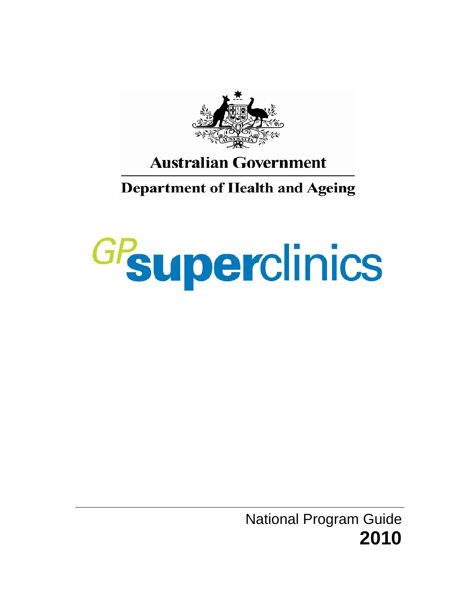

# **Australian Government**

# **Department of Health and Ageing**

# GPsuperclinics

National Program Guide **2010**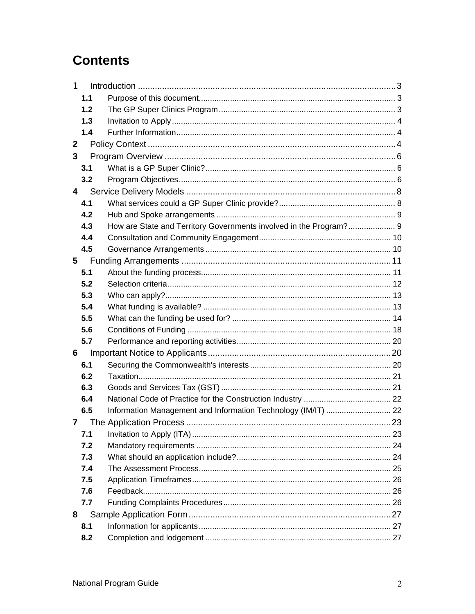# **Contents**

| 1            |     |                                                                    |  |
|--------------|-----|--------------------------------------------------------------------|--|
|              | 1.1 |                                                                    |  |
|              | 1.2 |                                                                    |  |
|              | 1.3 |                                                                    |  |
|              | 1.4 |                                                                    |  |
| $\mathbf{2}$ |     |                                                                    |  |
| 3            |     |                                                                    |  |
|              | 3.1 |                                                                    |  |
|              | 3.2 |                                                                    |  |
| 4            |     |                                                                    |  |
|              | 4.1 |                                                                    |  |
|              | 4.2 |                                                                    |  |
|              | 4.3 | How are State and Territory Governments involved in the Program? 9 |  |
|              | 4.4 |                                                                    |  |
|              | 4.5 |                                                                    |  |
| 5            |     |                                                                    |  |
|              | 5.1 |                                                                    |  |
|              | 5.2 |                                                                    |  |
|              | 5.3 |                                                                    |  |
|              | 5.4 |                                                                    |  |
|              | 5.5 |                                                                    |  |
|              | 5.6 |                                                                    |  |
|              | 5.7 |                                                                    |  |
| 6            |     |                                                                    |  |
|              | 6.1 |                                                                    |  |
|              | 6.2 |                                                                    |  |
|              | 6.3 |                                                                    |  |
|              | 6.4 |                                                                    |  |
|              | 6.5 | Information Management and Information Technology (IM/IT)  22      |  |
| 7            |     |                                                                    |  |
|              | 7.1 |                                                                    |  |
|              | 7.2 |                                                                    |  |
|              | 7.3 |                                                                    |  |
|              | 7.4 |                                                                    |  |
|              | 7.5 |                                                                    |  |
|              | 7.6 |                                                                    |  |
|              | 7.7 |                                                                    |  |
| 8            |     |                                                                    |  |
|              | 8.1 |                                                                    |  |
|              | 8.2 |                                                                    |  |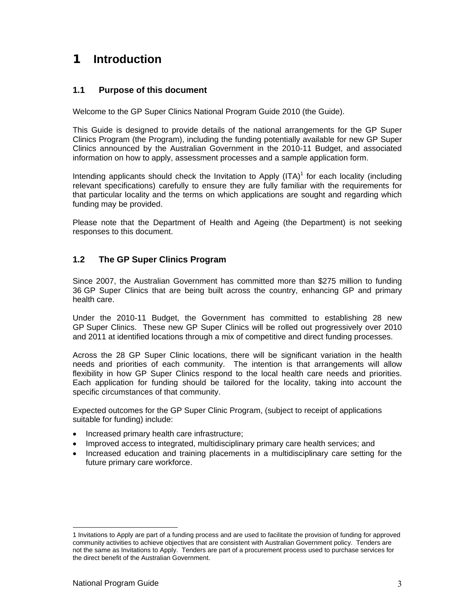# **1 Introduction**

#### **1.1 Purpose of this document**

Welcome to the GP Super Clinics National Program Guide 2010 (the Guide).

This Guide is designed to provide details of the national arrangements for the GP Super Clinics Program (the Program), including the funding potentially available for new GP Super Clinics announced by the Australian Government in the 2010-11 Budget, and associated information on how to apply, assessment processes and a sample application form.

Intending applicants should check the Invitation to Apply  $(ITA)^1$  for each locality (including relevant specifications) carefully to ensure they are fully familiar with the requirements for that particular locality and the terms on which applications are sought and regarding which funding may be provided.

Please note that the Department of Health and Ageing (the Department) is not seeking responses to this document.

#### **1.2 The GP Super Clinics Program**

Since 2007, the Australian Government has committed more than \$275 million to funding 36 GP Super Clinics that are being built across the country, enhancing GP and primary health care.

Under the 2010-11 Budget, the Government has committed to establishing 28 new GP Super Clinics. These new GP Super Clinics will be rolled out progressively over 2010 and 2011 at identified locations through a mix of competitive and direct funding processes.

Across the 28 GP Super Clinic locations, there will be significant variation in the health needs and priorities of each community. The intention is that arrangements will allow flexibility in how GP Super Clinics respond to the local health care needs and priorities. Each application for funding should be tailored for the locality, taking into account the specific circumstances of that community.

Expected outcomes for the GP Super Clinic Program, (subject to receipt of applications suitable for funding) include:

- Increased primary health care infrastructure;
- Improved access to integrated, multidisciplinary primary care health services; and
- Increased education and training placements in a multidisciplinary care setting for the future primary care workforce.

-

<sup>1</sup> Invitations to Apply are part of a funding process and are used to facilitate the provision of funding for approved community activities to achieve objectives that are consistent with Australian Government policy. Tenders are not the same as Invitations to Apply. Tenders are part of a procurement process used to purchase services for the direct benefit of the Australian Government.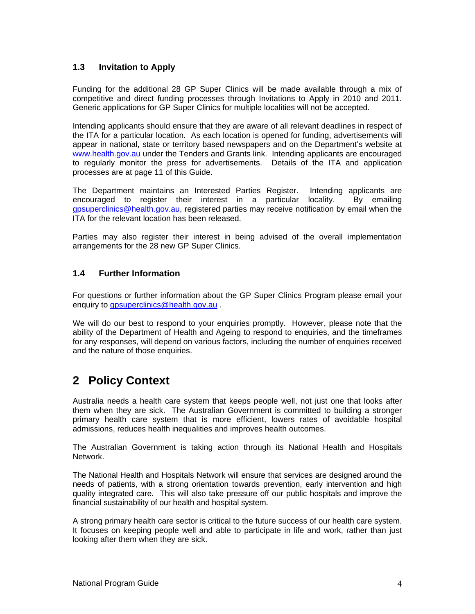#### **1.3 Invitation to Apply**

Funding for the additional 28 GP Super Clinics will be made available through a mix of competitive and direct funding processes through Invitations to Apply in 2010 and 2011. Generic applications for GP Super Clinics for multiple localities will not be accepted.

Intending applicants should ensure that they are aware of all relevant deadlines in respect of the ITA for a particular location. As each location is opened for funding, advertisements will appear in national, state or territory based newspapers and on the Department's website at www.health.gov.au under the Tenders and Grants link. Intending applicants are encouraged to regularly monitor the press for advertisements. Details of the ITA and application processes are at page 11 of this Guide.

The Department maintains an Interested Parties Register. Intending applicants are encouraged to register their interest in a particular locality. By emailing gpsuperclinics@health.gov.au, registered parties may receive notification by email when the ITA for the relevant location has been released.

Parties may also register their interest in being advised of the overall implementation arrangements for the 28 new GP Super Clinics.

#### **1.4 Further Information**

For questions or further information about the GP Super Clinics Program please email your enquiry to apsuperclinics@health.gov.au.

We will do our best to respond to your enquiries promptly. However, please note that the ability of the Department of Health and Ageing to respond to enquiries, and the timeframes for any responses, will depend on various factors, including the number of enquiries received and the nature of those enquiries.

# **2 Policy Context**

Australia needs a health care system that keeps people well, not just one that looks after them when they are sick. The Australian Government is committed to building a stronger primary health care system that is more efficient, lowers rates of avoidable hospital admissions, reduces health inequalities and improves health outcomes.

The Australian Government is taking action through its National Health and Hospitals Network.

The National Health and Hospitals Network will ensure that services are designed around the needs of patients, with a strong orientation towards prevention, early intervention and high quality integrated care. This will also take pressure off our public hospitals and improve the financial sustainability of our health and hospital system.

A strong primary health care sector is critical to the future success of our health care system. It focuses on keeping people well and able to participate in life and work, rather than just looking after them when they are sick.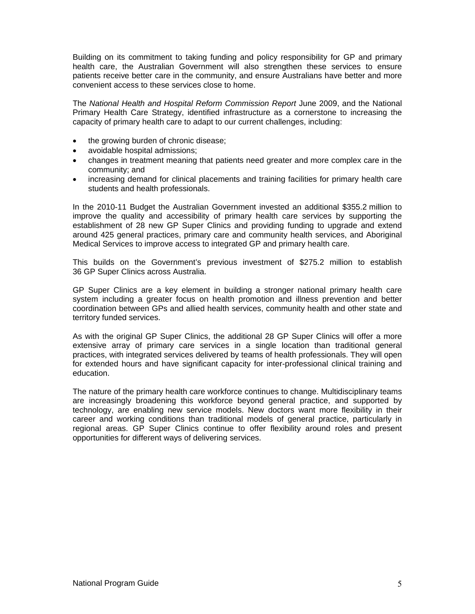Building on its commitment to taking funding and policy responsibility for GP and primary health care, the Australian Government will also strengthen these services to ensure patients receive better care in the community, and ensure Australians have better and more convenient access to these services close to home.

The *National Health and Hospital Reform Commission Report* June 2009, and the National Primary Health Care Strategy, identified infrastructure as a cornerstone to increasing the capacity of primary health care to adapt to our current challenges, including:

- the growing burden of chronic disease;
- avoidable hospital admissions;
- changes in treatment meaning that patients need greater and more complex care in the community; and
- increasing demand for clinical placements and training facilities for primary health care students and health professionals.

In the 2010-11 Budget the Australian Government invested an additional \$355.2 million to improve the quality and accessibility of primary health care services by supporting the establishment of 28 new GP Super Clinics and providing funding to upgrade and extend around 425 general practices, primary care and community health services, and Aboriginal Medical Services to improve access to integrated GP and primary health care.

This builds on the Government's previous investment of \$275.2 million to establish 36 GP Super Clinics across Australia.

GP Super Clinics are a key element in building a stronger national primary health care system including a greater focus on health promotion and illness prevention and better coordination between GPs and allied health services, community health and other state and territory funded services.

As with the original GP Super Clinics, the additional 28 GP Super Clinics will offer a more extensive array of primary care services in a single location than traditional general practices, with integrated services delivered by teams of health professionals. They will open for extended hours and have significant capacity for inter-professional clinical training and education.

The nature of the primary health care workforce continues to change. Multidisciplinary teams are increasingly broadening this workforce beyond general practice, and supported by technology, are enabling new service models. New doctors want more flexibility in their career and working conditions than traditional models of general practice, particularly in regional areas. GP Super Clinics continue to offer flexibility around roles and present opportunities for different ways of delivering services.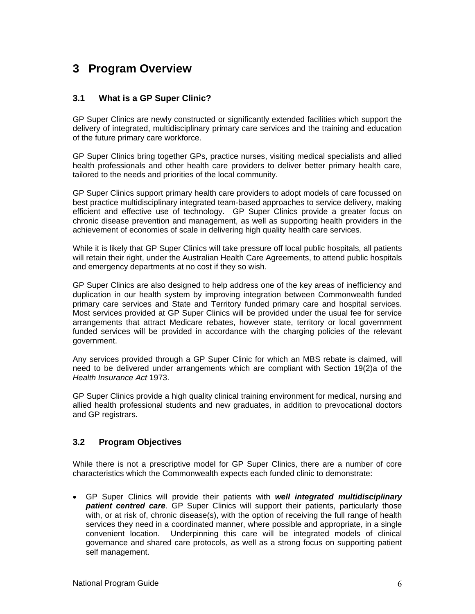# **3 Program Overview**

#### **3.1 What is a GP Super Clinic?**

GP Super Clinics are newly constructed or significantly extended facilities which support the delivery of integrated, multidisciplinary primary care services and the training and education of the future primary care workforce.

GP Super Clinics bring together GPs, practice nurses, visiting medical specialists and allied health professionals and other health care providers to deliver better primary health care, tailored to the needs and priorities of the local community.

GP Super Clinics support primary health care providers to adopt models of care focussed on best practice multidisciplinary integrated team-based approaches to service delivery, making efficient and effective use of technology. GP Super Clinics provide a greater focus on chronic disease prevention and management, as well as supporting health providers in the achievement of economies of scale in delivering high quality health care services.

While it is likely that GP Super Clinics will take pressure off local public hospitals, all patients will retain their right, under the Australian Health Care Agreements, to attend public hospitals and emergency departments at no cost if they so wish.

GP Super Clinics are also designed to help address one of the key areas of inefficiency and duplication in our health system by improving integration between Commonwealth funded primary care services and State and Territory funded primary care and hospital services. Most services provided at GP Super Clinics will be provided under the usual fee for service arrangements that attract Medicare rebates, however state, territory or local government funded services will be provided in accordance with the charging policies of the relevant government.

Any services provided through a GP Super Clinic for which an MBS rebate is claimed, will need to be delivered under arrangements which are compliant with Section 19(2)a of the *Health Insurance Act* 1973.

GP Super Clinics provide a high quality clinical training environment for medical, nursing and allied health professional students and new graduates, in addition to prevocational doctors and GP registrars.

#### **3.2 Program Objectives**

While there is not a prescriptive model for GP Super Clinics, there are a number of core characteristics which the Commonwealth expects each funded clinic to demonstrate:

• GP Super Clinics will provide their patients with *well integrated multidisciplinary patient centred care*. GP Super Clinics will support their patients, particularly those with, or at risk of, chronic disease(s), with the option of receiving the full range of health services they need in a coordinated manner, where possible and appropriate, in a single convenient location. Underpinning this care will be integrated models of clinical governance and shared care protocols, as well as a strong focus on supporting patient self management.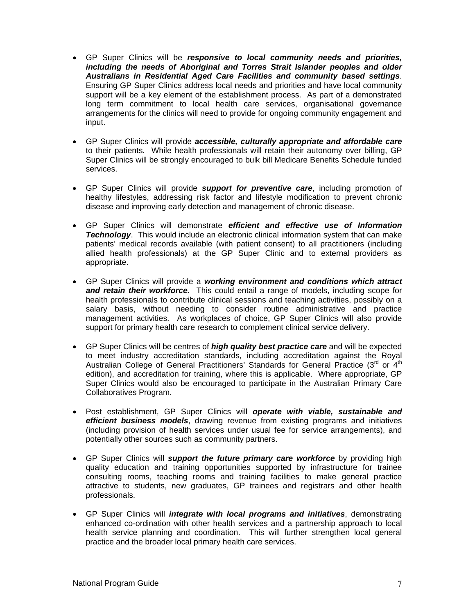- GP Super Clinics will be *responsive to local community needs and priorities, including the needs of Aboriginal and Torres Strait Islander peoples and older Australians in Residential Aged Care Facilities and community based settings*. Ensuring GP Super Clinics address local needs and priorities and have local community support will be a key element of the establishment process. As part of a demonstrated long term commitment to local health care services, organisational governance arrangements for the clinics will need to provide for ongoing community engagement and input.
- GP Super Clinics will provide *accessible, culturally appropriate and affordable care* to their patients. While health professionals will retain their autonomy over billing, GP Super Clinics will be strongly encouraged to bulk bill Medicare Benefits Schedule funded services.
- GP Super Clinics will provide *support for preventive care*, including promotion of healthy lifestyles, addressing risk factor and lifestyle modification to prevent chronic disease and improving early detection and management of chronic disease.
- GP Super Clinics will demonstrate *efficient and effective use of Information*  **Technology**. This would include an electronic clinical information system that can make patients' medical records available (with patient consent) to all practitioners (including allied health professionals) at the GP Super Clinic and to external providers as appropriate.
- GP Super Clinics will provide a *working environment and conditions which attract and retain their workforce.* This could entail a range of models, including scope for health professionals to contribute clinical sessions and teaching activities, possibly on a salary basis, without needing to consider routine administrative and practice management activities. As workplaces of choice, GP Super Clinics will also provide support for primary health care research to complement clinical service delivery.
- GP Super Clinics will be centres of *high quality best practice care* and will be expected to meet industry accreditation standards, including accreditation against the Royal Australian College of General Practitioners' Standards for General Practice (3rd or 4<sup>th</sup> edition), and accreditation for training, where this is applicable. Where appropriate, GP Super Clinics would also be encouraged to participate in the Australian Primary Care Collaboratives Program.
- Post establishment, GP Super Clinics will *operate with viable, sustainable and efficient business models*, drawing revenue from existing programs and initiatives (including provision of health services under usual fee for service arrangements), and potentially other sources such as community partners.
- GP Super Clinics will *support the future primary care workforce* by providing high quality education and training opportunities supported by infrastructure for trainee consulting rooms, teaching rooms and training facilities to make general practice attractive to students, new graduates, GP trainees and registrars and other health professionals.
- GP Super Clinics will *integrate with local programs and initiatives*, demonstrating enhanced co-ordination with other health services and a partnership approach to local health service planning and coordination. This will further strengthen local general practice and the broader local primary health care services.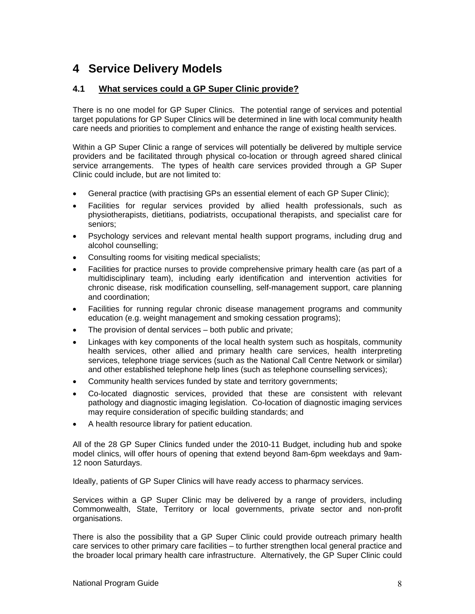# **4 Service Delivery Models**

#### **4.1 What services could a GP Super Clinic provide?**

There is no one model for GP Super Clinics. The potential range of services and potential target populations for GP Super Clinics will be determined in line with local community health care needs and priorities to complement and enhance the range of existing health services.

Within a GP Super Clinic a range of services will potentially be delivered by multiple service providers and be facilitated through physical co-location or through agreed shared clinical service arrangements. The types of health care services provided through a GP Super Clinic could include, but are not limited to:

- General practice (with practising GPs an essential element of each GP Super Clinic);
- Facilities for regular services provided by allied health professionals, such as physiotherapists, dietitians, podiatrists, occupational therapists, and specialist care for seniors;
- Psychology services and relevant mental health support programs, including drug and alcohol counselling;
- Consulting rooms for visiting medical specialists;
- Facilities for practice nurses to provide comprehensive primary health care (as part of a multidisciplinary team), including early identification and intervention activities for chronic disease, risk modification counselling, self-management support, care planning and coordination;
- Facilities for running regular chronic disease management programs and community education (e.g. weight management and smoking cessation programs);
- The provision of dental services both public and private:
- Linkages with key components of the local health system such as hospitals, community health services, other allied and primary health care services, health interpreting services, telephone triage services (such as the National Call Centre Network or similar) and other established telephone help lines (such as telephone counselling services);
- Community health services funded by state and territory governments;
- Co-located diagnostic services, provided that these are consistent with relevant pathology and diagnostic imaging legislation. Co-location of diagnostic imaging services may require consideration of specific building standards; and
- A health resource library for patient education.

All of the 28 GP Super Clinics funded under the 2010-11 Budget, including hub and spoke model clinics, will offer hours of opening that extend beyond 8am-6pm weekdays and 9am-12 noon Saturdays.

Ideally, patients of GP Super Clinics will have ready access to pharmacy services.

Services within a GP Super Clinic may be delivered by a range of providers, including Commonwealth, State, Territory or local governments, private sector and non-profit organisations.

There is also the possibility that a GP Super Clinic could provide outreach primary health care services to other primary care facilities – to further strengthen local general practice and the broader local primary health care infrastructure. Alternatively, the GP Super Clinic could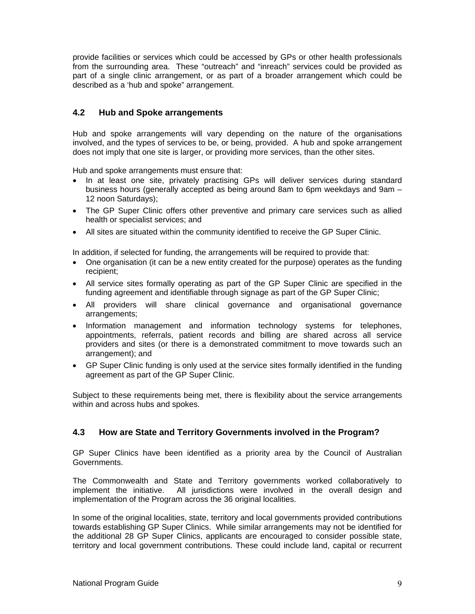provide facilities or services which could be accessed by GPs or other health professionals from the surrounding area. These "outreach" and "inreach" services could be provided as part of a single clinic arrangement, or as part of a broader arrangement which could be described as a 'hub and spoke" arrangement.

#### **4.2 Hub and Spoke arrangements**

Hub and spoke arrangements will vary depending on the nature of the organisations involved, and the types of services to be, or being, provided. A hub and spoke arrangement does not imply that one site is larger, or providing more services, than the other sites.

Hub and spoke arrangements must ensure that:

- In at least one site, privately practising GPs will deliver services during standard business hours (generally accepted as being around 8am to 6pm weekdays and 9am – 12 noon Saturdays);
- The GP Super Clinic offers other preventive and primary care services such as allied health or specialist services; and
- All sites are situated within the community identified to receive the GP Super Clinic.

In addition, if selected for funding, the arrangements will be required to provide that:

- One organisation (it can be a new entity created for the purpose) operates as the funding recipient;
- All service sites formally operating as part of the GP Super Clinic are specified in the funding agreement and identifiable through signage as part of the GP Super Clinic;
- All providers will share clinical governance and organisational governance arrangements;
- Information management and information technology systems for telephones, appointments, referrals, patient records and billing are shared across all service providers and sites (or there is a demonstrated commitment to move towards such an arrangement); and
- GP Super Clinic funding is only used at the service sites formally identified in the funding agreement as part of the GP Super Clinic.

Subject to these requirements being met, there is flexibility about the service arrangements within and across hubs and spokes.

#### **4.3 How are State and Territory Governments involved in the Program?**

GP Super Clinics have been identified as a priority area by the Council of Australian Governments.

The Commonwealth and State and Territory governments worked collaboratively to implement the initiative. All jurisdictions were involved in the overall design and implementation of the Program across the 36 original localities.

In some of the original localities, state, territory and local governments provided contributions towards establishing GP Super Clinics. While similar arrangements may not be identified for the additional 28 GP Super Clinics, applicants are encouraged to consider possible state, territory and local government contributions. These could include land, capital or recurrent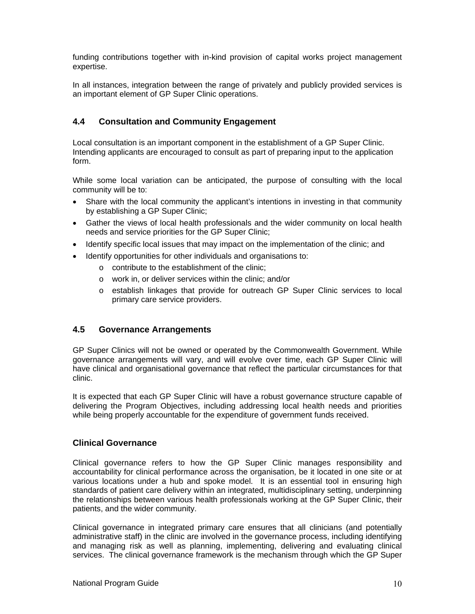funding contributions together with in-kind provision of capital works project management expertise.

In all instances, integration between the range of privately and publicly provided services is an important element of GP Super Clinic operations.

#### **4.4 Consultation and Community Engagement**

Local consultation is an important component in the establishment of a GP Super Clinic. Intending applicants are encouraged to consult as part of preparing input to the application form.

While some local variation can be anticipated, the purpose of consulting with the local community will be to:

- Share with the local community the applicant's intentions in investing in that community by establishing a GP Super Clinic;
- Gather the views of local health professionals and the wider community on local health needs and service priorities for the GP Super Clinic;
- Identify specific local issues that may impact on the implementation of the clinic; and
- Identify opportunities for other individuals and organisations to:
	- o contribute to the establishment of the clinic;
	- o work in, or deliver services within the clinic; and/or
	- o establish linkages that provide for outreach GP Super Clinic services to local primary care service providers.

#### **4.5 Governance Arrangements**

GP Super Clinics will not be owned or operated by the Commonwealth Government. While governance arrangements will vary, and will evolve over time, each GP Super Clinic will have clinical and organisational governance that reflect the particular circumstances for that clinic.

It is expected that each GP Super Clinic will have a robust governance structure capable of delivering the Program Objectives, including addressing local health needs and priorities while being properly accountable for the expenditure of government funds received.

#### **Clinical Governance**

Clinical governance refers to how the GP Super Clinic manages responsibility and accountability for clinical performance across the organisation, be it located in one site or at various locations under a hub and spoke model. It is an essential tool in ensuring high standards of patient care delivery within an integrated, multidisciplinary setting, underpinning the relationships between various health professionals working at the GP Super Clinic, their patients, and the wider community.

Clinical governance in integrated primary care ensures that all clinicians (and potentially administrative staff) in the clinic are involved in the governance process, including identifying and managing risk as well as planning, implementing, delivering and evaluating clinical services. The clinical governance framework is the mechanism through which the GP Super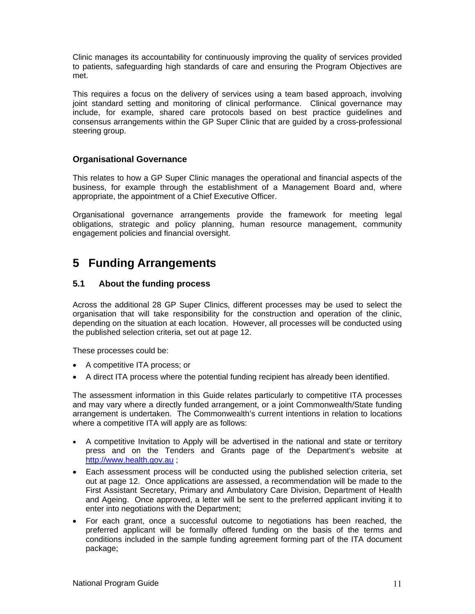Clinic manages its accountability for continuously improving the quality of services provided to patients, safeguarding high standards of care and ensuring the Program Objectives are met.

This requires a focus on the delivery of services using a team based approach, involving joint standard setting and monitoring of clinical performance. Clinical governance may include, for example, shared care protocols based on best practice guidelines and consensus arrangements within the GP Super Clinic that are guided by a cross-professional steering group.

#### **Organisational Governance**

This relates to how a GP Super Clinic manages the operational and financial aspects of the business, for example through the establishment of a Management Board and, where appropriate, the appointment of a Chief Executive Officer.

Organisational governance arrangements provide the framework for meeting legal obligations, strategic and policy planning, human resource management, community engagement policies and financial oversight.

# **5 Funding Arrangements**

#### **5.1 About the funding process**

Across the additional 28 GP Super Clinics, different processes may be used to select the organisation that will take responsibility for the construction and operation of the clinic, depending on the situation at each location. However, all processes will be conducted using the published selection criteria, set out at page 12.

These processes could be:

- A competitive ITA process; or
- A direct ITA process where the potential funding recipient has already been identified.

The assessment information in this Guide relates particularly to competitive ITA processes and may vary where a directly funded arrangement, or a joint Commonwealth/State funding arrangement is undertaken. The Commonwealth's current intentions in relation to locations where a competitive ITA will apply are as follows:

- A competitive Invitation to Apply will be advertised in the national and state or territory press and on the Tenders and Grants page of the Department's website at http://www.health.gov.au ;
- Each assessment process will be conducted using the published selection criteria, set out at page 12. Once applications are assessed, a recommendation will be made to the First Assistant Secretary, Primary and Ambulatory Care Division, Department of Health and Ageing. Once approved, a letter will be sent to the preferred applicant inviting it to enter into negotiations with the Department;
- For each grant, once a successful outcome to negotiations has been reached, the preferred applicant will be formally offered funding on the basis of the terms and conditions included in the sample funding agreement forming part of the ITA document package;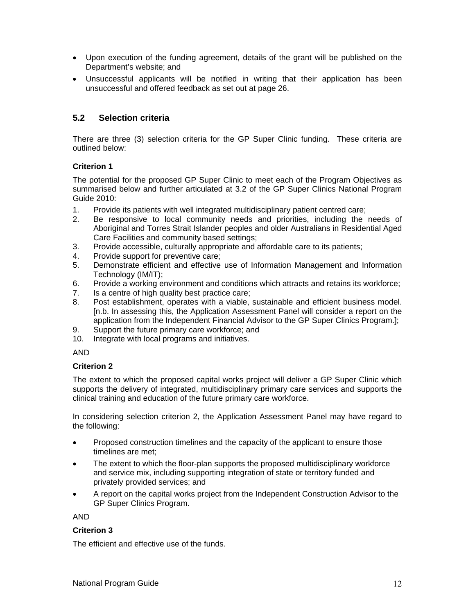- Upon execution of the funding agreement, details of the grant will be published on the Department's website; and
- Unsuccessful applicants will be notified in writing that their application has been unsuccessful and offered feedback as set out at page 26.

#### **5.2 Selection criteria**

There are three (3) selection criteria for the GP Super Clinic funding. These criteria are outlined below:

#### **Criterion 1**

The potential for the proposed GP Super Clinic to meet each of the Program Objectives as summarised below and further articulated at 3.2 of the GP Super Clinics National Program Guide 2010:

- 1. Provide its patients with well integrated multidisciplinary patient centred care;
- 2. Be responsive to local community needs and priorities, including the needs of Aboriginal and Torres Strait Islander peoples and older Australians in Residential Aged Care Facilities and community based settings;
- 3. Provide accessible, culturally appropriate and affordable care to its patients;
- 4. Provide support for preventive care;
- 5. Demonstrate efficient and effective use of Information Management and Information Technology (IM/IT);
- 6. Provide a working environment and conditions which attracts and retains its workforce;
- 7. Is a centre of high quality best practice care;
- 8. Post establishment, operates with a viable, sustainable and efficient business model. [n.b. In assessing this, the Application Assessment Panel will consider a report on the application from the Independent Financial Advisor to the GP Super Clinics Program.];
- 9. Support the future primary care workforce; and
- 10. Integrate with local programs and initiatives.

#### AND

#### **Criterion 2**

The extent to which the proposed capital works project will deliver a GP Super Clinic which supports the delivery of integrated, multidisciplinary primary care services and supports the clinical training and education of the future primary care workforce.

In considering selection criterion 2, the Application Assessment Panel may have regard to the following:

- Proposed construction timelines and the capacity of the applicant to ensure those timelines are met;
- The extent to which the floor-plan supports the proposed multidisciplinary workforce and service mix, including supporting integration of state or territory funded and privately provided services; and
- A report on the capital works project from the Independent Construction Advisor to the GP Super Clinics Program.

AND

#### **Criterion 3**

The efficient and effective use of the funds.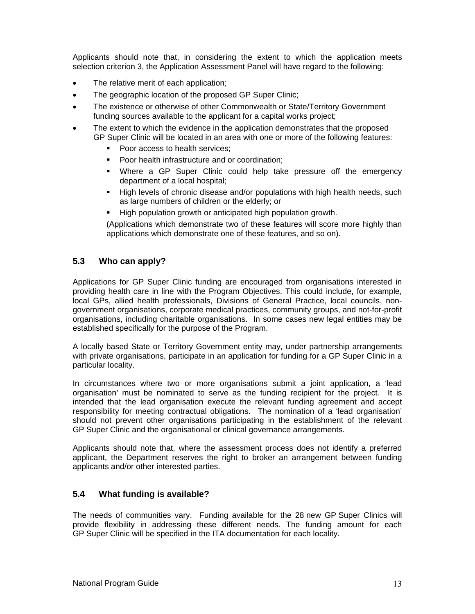Applicants should note that, in considering the extent to which the application meets selection criterion 3, the Application Assessment Panel will have regard to the following:

- The relative merit of each application;
- The geographic location of the proposed GP Super Clinic;
- The existence or otherwise of other Commonwealth or State/Territory Government funding sources available to the applicant for a capital works project;
- The extent to which the evidence in the application demonstrates that the proposed GP Super Clinic will be located in an area with one or more of the following features:
	- Poor access to health services;
	- Poor health infrastructure and or coordination;
	- Where a GP Super Clinic could help take pressure off the emergency department of a local hospital;
	- High levels of chronic disease and/or populations with high health needs, such as large numbers of children or the elderly; or
	- High population growth or anticipated high population growth.

(Applications which demonstrate two of these features will score more highly than applications which demonstrate one of these features, and so on).

#### **5.3 Who can apply?**

Applications for GP Super Clinic funding are encouraged from organisations interested in providing health care in line with the Program Objectives. This could include, for example, local GPs, allied health professionals, Divisions of General Practice, local councils, nongovernment organisations, corporate medical practices, community groups, and not-for-profit organisations, including charitable organisations. In some cases new legal entities may be established specifically for the purpose of the Program.

A locally based State or Territory Government entity may, under partnership arrangements with private organisations, participate in an application for funding for a GP Super Clinic in a particular locality.

In circumstances where two or more organisations submit a joint application, a 'lead organisation' must be nominated to serve as the funding recipient for the project. It is intended that the lead organisation execute the relevant funding agreement and accept responsibility for meeting contractual obligations. The nomination of a 'lead organisation' should not prevent other organisations participating in the establishment of the relevant GP Super Clinic and the organisational or clinical governance arrangements.

Applicants should note that, where the assessment process does not identify a preferred applicant, the Department reserves the right to broker an arrangement between funding applicants and/or other interested parties.

#### **5.4 What funding is available?**

The needs of communities vary. Funding available for the 28 new GP Super Clinics will provide flexibility in addressing these different needs. The funding amount for each GP Super Clinic will be specified in the ITA documentation for each locality.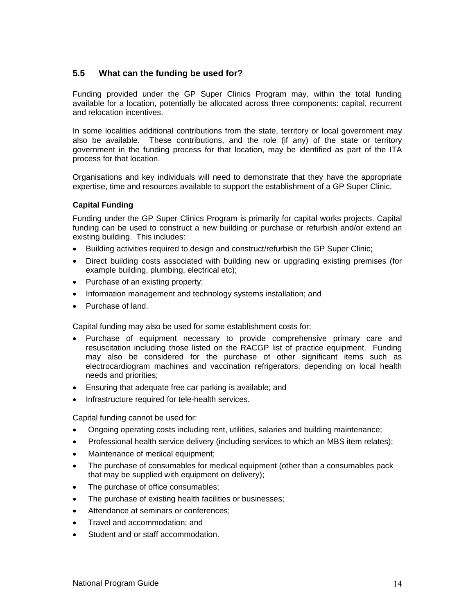#### **5.5 What can the funding be used for?**

Funding provided under the GP Super Clinics Program may, within the total funding available for a location, potentially be allocated across three components: capital, recurrent and relocation incentives.

In some localities additional contributions from the state, territory or local government may also be available. These contributions, and the role (if any) of the state or territory government in the funding process for that location, may be identified as part of the ITA process for that location.

Organisations and key individuals will need to demonstrate that they have the appropriate expertise, time and resources available to support the establishment of a GP Super Clinic.

#### **Capital Funding**

Funding under the GP Super Clinics Program is primarily for capital works projects. Capital funding can be used to construct a new building or purchase or refurbish and/or extend an existing building. This includes:

- Building activities required to design and construct/refurbish the GP Super Clinic;
- Direct building costs associated with building new or upgrading existing premises (for example building, plumbing, electrical etc);
- Purchase of an existing property;
- Information management and technology systems installation; and
- Purchase of land.

Capital funding may also be used for some establishment costs for:

- Purchase of equipment necessary to provide comprehensive primary care and resuscitation including those listed on the RACGP list of practice equipment. Funding may also be considered for the purchase of other significant items such as electrocardiogram machines and vaccination refrigerators, depending on local health needs and priorities;
- Ensuring that adequate free car parking is available; and
- Infrastructure required for tele-health services.

Capital funding cannot be used for:

- Ongoing operating costs including rent, utilities, salaries and building maintenance;
- Professional health service delivery (including services to which an MBS item relates);
- Maintenance of medical equipment;
- The purchase of consumables for medical equipment (other than a consumables pack that may be supplied with equipment on delivery);
- The purchase of office consumables;
- The purchase of existing health facilities or businesses;
- Attendance at seminars or conferences;
- Travel and accommodation; and
- Student and or staff accommodation.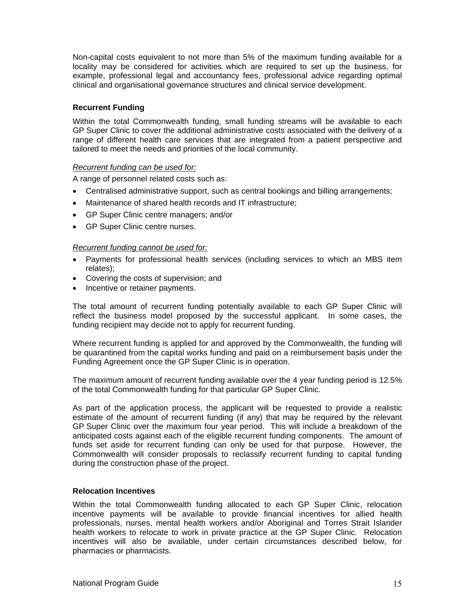Non-capital costs equivalent to not more than 5% of the maximum funding available for a locality may be considered for activities which are required to set up the business, for example, professional legal and accountancy fees, professional advice regarding optimal clinical and organisational governance structures and clinical service development.

#### **Recurrent Funding**

Within the total Commonwealth funding, small funding streams will be available to each GP Super Clinic to cover the additional administrative costs associated with the delivery of a range of different health care services that are integrated from a patient perspective and tailored to meet the needs and priorities of the local community.

#### *Recurrent funding can be used for:*

A range of personnel related costs such as:

- Centralised administrative support, such as central bookings and billing arrangements;
- Maintenance of shared health records and IT infrastructure;
- GP Super Clinic centre managers; and/or
- GP Super Clinic centre nurses.

#### *Recurrent funding cannot be used for:*

- Payments for professional health services (including services to which an MBS item relates);
- Covering the costs of supervision; and
- Incentive or retainer payments.

The total amount of recurrent funding potentially available to each GP Super Clinic will reflect the business model proposed by the successful applicant. In some cases, the funding recipient may decide not to apply for recurrent funding.

Where recurrent funding is applied for and approved by the Commonwealth, the funding will be quarantined from the capital works funding and paid on a reimbursement basis under the Funding Agreement once the GP Super Clinic is in operation.

The maximum amount of recurrent funding available over the 4 year funding period is 12.5% of the total Commonwealth funding for that particular GP Super Clinic.

As part of the application process, the applicant will be requested to provide a realistic estimate of the amount of recurrent funding (if any) that may be required by the relevant GP Super Clinic over the maximum four year period. This will include a breakdown of the anticipated costs against each of the eligible recurrent funding components. The amount of funds set aside for recurrent funding can only be used for that purpose. However, the Commonwealth will consider proposals to reclassify recurrent funding to capital funding during the construction phase of the project.

#### **Relocation Incentives**

Within the total Commonwealth funding allocated to each GP Super Clinic, relocation incentive payments will be available to provide financial incentives for allied health professionals, nurses, mental health workers and/or Aboriginal and Torres Strait Islander health workers to relocate to work in private practice at the GP Super Clinic. Relocation incentives will also be available, under certain circumstances described below, for pharmacies or pharmacists.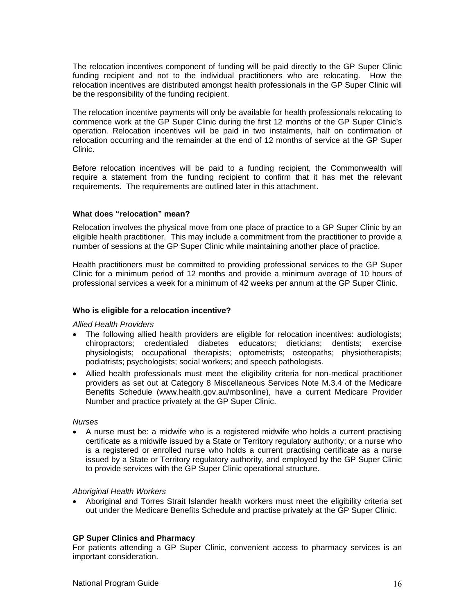The relocation incentives component of funding will be paid directly to the GP Super Clinic funding recipient and not to the individual practitioners who are relocating. How the relocation incentives are distributed amongst health professionals in the GP Super Clinic will be the responsibility of the funding recipient.

The relocation incentive payments will only be available for health professionals relocating to commence work at the GP Super Clinic during the first 12 months of the GP Super Clinic's operation. Relocation incentives will be paid in two instalments, half on confirmation of relocation occurring and the remainder at the end of 12 months of service at the GP Super Clinic.

Before relocation incentives will be paid to a funding recipient, the Commonwealth will require a statement from the funding recipient to confirm that it has met the relevant requirements. The requirements are outlined later in this attachment.

#### **What does "relocation" mean?**

Relocation involves the physical move from one place of practice to a GP Super Clinic by an eligible health practitioner. This may include a commitment from the practitioner to provide a number of sessions at the GP Super Clinic while maintaining another place of practice.

Health practitioners must be committed to providing professional services to the GP Super Clinic for a minimum period of 12 months and provide a minimum average of 10 hours of professional services a week for a minimum of 42 weeks per annum at the GP Super Clinic.

#### **Who is eligible for a relocation incentive?**

#### *Allied Health Providers*

- The following allied health providers are eligible for relocation incentives: audiologists; chiropractors; credentialed diabetes educators; dieticians; dentists; exercise physiologists; occupational therapists; optometrists; osteopaths; physiotherapists; podiatrists; psychologists; social workers; and speech pathologists.
- Allied health professionals must meet the eligibility criteria for non-medical practitioner providers as set out at Category 8 Miscellaneous Services Note M.3.4 of the Medicare Benefits Schedule (www.health.gov.au/mbsonline), have a current Medicare Provider Number and practice privately at the GP Super Clinic.

#### *Nurses*

• A nurse must be: a midwife who is a registered midwife who holds a current practising certificate as a midwife issued by a State or Territory regulatory authority; or a nurse who is a registered or enrolled nurse who holds a current practising certificate as a nurse issued by a State or Territory regulatory authority, and employed by the GP Super Clinic to provide services with the GP Super Clinic operational structure.

#### *Aboriginal Health Workers*

• Aboriginal and Torres Strait Islander health workers must meet the eligibility criteria set out under the Medicare Benefits Schedule and practise privately at the GP Super Clinic.

#### **GP Super Clinics and Pharmacy**

For patients attending a GP Super Clinic, convenient access to pharmacy services is an important consideration.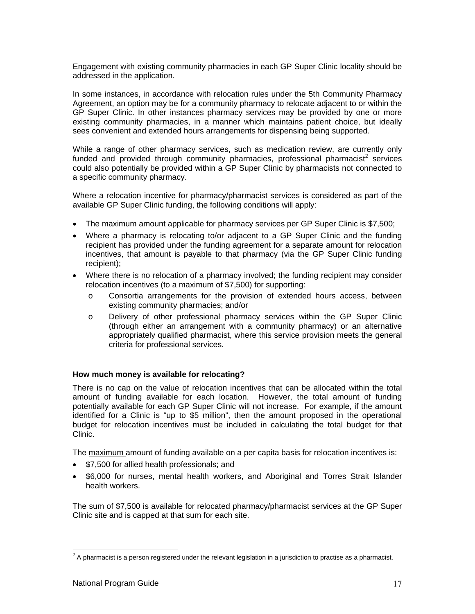Engagement with existing community pharmacies in each GP Super Clinic locality should be addressed in the application.

In some instances, in accordance with relocation rules under the 5th Community Pharmacy Agreement, an option may be for a community pharmacy to relocate adjacent to or within the GP Super Clinic. In other instances pharmacy services may be provided by one or more existing community pharmacies, in a manner which maintains patient choice, but ideally sees convenient and extended hours arrangements for dispensing being supported.

While a range of other pharmacy services, such as medication review, are currently only funded and provided through community pharmacies, professional pharmacist<sup>2</sup> services could also potentially be provided within a GP Super Clinic by pharmacists not connected to a specific community pharmacy.

Where a relocation incentive for pharmacy/pharmacist services is considered as part of the available GP Super Clinic funding, the following conditions will apply:

- The maximum amount applicable for pharmacy services per GP Super Clinic is \$7,500;
- Where a pharmacy is relocating to/or adjacent to a GP Super Clinic and the funding recipient has provided under the funding agreement for a separate amount for relocation incentives, that amount is payable to that pharmacy (via the GP Super Clinic funding recipient);
- Where there is no relocation of a pharmacy involved; the funding recipient may consider relocation incentives (to a maximum of \$7,500) for supporting:
	- o Consortia arrangements for the provision of extended hours access, between existing community pharmacies; and/or
	- o Delivery of other professional pharmacy services within the GP Super Clinic (through either an arrangement with a community pharmacy) or an alternative appropriately qualified pharmacist, where this service provision meets the general criteria for professional services.

#### **How much money is available for relocating?**

There is no cap on the value of relocation incentives that can be allocated within the total amount of funding available for each location. However, the total amount of funding potentially available for each GP Super Clinic will not increase. For example, if the amount identified for a Clinic is "up to \$5 million", then the amount proposed in the operational budget for relocation incentives must be included in calculating the total budget for that Clinic.

The maximum amount of funding available on a per capita basis for relocation incentives is:

- \$7,500 for allied health professionals; and
- \$6,000 for nurses, mental health workers, and Aboriginal and Torres Strait Islander health workers.

The sum of \$7,500 is available for relocated pharmacy/pharmacist services at the GP Super Clinic site and is capped at that sum for each site.

-

 $2$  A pharmacist is a person registered under the relevant legislation in a jurisdiction to practise as a pharmacist.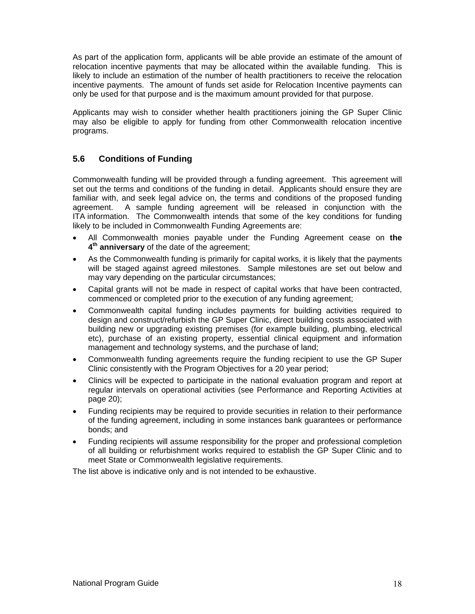As part of the application form, applicants will be able provide an estimate of the amount of relocation incentive payments that may be allocated within the available funding. This is likely to include an estimation of the number of health practitioners to receive the relocation incentive payments. The amount of funds set aside for Relocation Incentive payments can only be used for that purpose and is the maximum amount provided for that purpose.

Applicants may wish to consider whether health practitioners joining the GP Super Clinic may also be eligible to apply for funding from other Commonwealth relocation incentive programs.

#### **5.6 Conditions of Funding**

Commonwealth funding will be provided through a funding agreement. This agreement will set out the terms and conditions of the funding in detail. Applicants should ensure they are familiar with, and seek legal advice on, the terms and conditions of the proposed funding agreement. A sample funding agreement will be released in conjunction with the ITA information. The Commonwealth intends that some of the key conditions for funding likely to be included in Commonwealth Funding Agreements are:

- All Commonwealth monies payable under the Funding Agreement cease on **the 4th anniversary** of the date of the agreement;
- As the Commonwealth funding is primarily for capital works, it is likely that the payments will be staged against agreed milestones. Sample milestones are set out below and may vary depending on the particular circumstances;
- Capital grants will not be made in respect of capital works that have been contracted, commenced or completed prior to the execution of any funding agreement;
- Commonwealth capital funding includes payments for building activities required to design and construct/refurbish the GP Super Clinic, direct building costs associated with building new or upgrading existing premises (for example building, plumbing, electrical etc), purchase of an existing property, essential clinical equipment and information management and technology systems, and the purchase of land;
- Commonwealth funding agreements require the funding recipient to use the GP Super Clinic consistently with the Program Objectives for a 20 year period;
- Clinics will be expected to participate in the national evaluation program and report at regular intervals on operational activities (see Performance and Reporting Activities at page 20);
- Funding recipients may be required to provide securities in relation to their performance of the funding agreement, including in some instances bank guarantees or performance bonds; and
- Funding recipients will assume responsibility for the proper and professional completion of all building or refurbishment works required to establish the GP Super Clinic and to meet State or Commonwealth legislative requirements.

The list above is indicative only and is not intended to be exhaustive.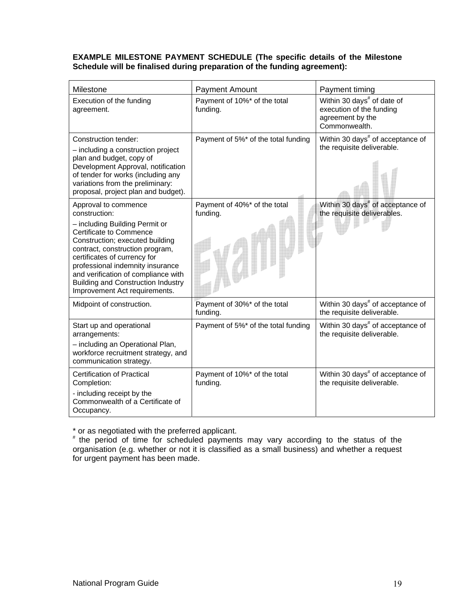#### **EXAMPLE MILESTONE PAYMENT SCHEDULE (The specific details of the Milestone Schedule will be finalised during preparation of the funding agreement):**

| Milestone                                                                                                                                                                                                                                                                                                                                                                | <b>Payment Amount</b>                    | Payment timing                                                                                          |  |
|--------------------------------------------------------------------------------------------------------------------------------------------------------------------------------------------------------------------------------------------------------------------------------------------------------------------------------------------------------------------------|------------------------------------------|---------------------------------------------------------------------------------------------------------|--|
| Execution of the funding<br>agreement.                                                                                                                                                                                                                                                                                                                                   | Payment of 10%* of the total<br>funding. | Within 30 days <sup>#</sup> of date of<br>execution of the funding<br>agreement by the<br>Commonwealth. |  |
| Construction tender:<br>- including a construction project<br>plan and budget, copy of<br>Development Approval, notification<br>of tender for works (including any<br>variations from the preliminary:<br>proposal, project plan and budget).                                                                                                                            | Payment of 5%* of the total funding      | Within 30 days <sup>#</sup> of acceptance of<br>the requisite deliverable.                              |  |
| Approval to commence<br>construction:<br>- including Building Permit or<br><b>Certificate to Commence</b><br>Construction; executed building<br>contract, construction program,<br>certificates of currency for<br>professional indemnity insurance<br>and verification of compliance with<br><b>Building and Construction Industry</b><br>Improvement Act requirements. | Payment of 40%* of the total<br>funding. | Within 30 days <sup>#</sup> of acceptance of<br>the requisite deliverables.                             |  |
| Midpoint of construction.                                                                                                                                                                                                                                                                                                                                                | Payment of 30%* of the total<br>funding. | Within 30 days <sup>#</sup> of acceptance of<br>the requisite deliverable.                              |  |
| Start up and operational<br>arrangements:<br>- including an Operational Plan,<br>workforce recruitment strategy, and<br>communication strategy.                                                                                                                                                                                                                          | Payment of 5%* of the total funding      | Within 30 days <sup>#</sup> of acceptance of<br>the requisite deliverable.                              |  |
| <b>Certification of Practical</b><br>Completion:<br>- including receipt by the<br>Commonwealth of a Certificate of<br>Occupancy.                                                                                                                                                                                                                                         | Payment of 10%* of the total<br>funding. | Within 30 days <sup>#</sup> of acceptance of<br>the requisite deliverable.                              |  |

\* or as negotiated with the preferred applicant.

# the period of time for scheduled payments may vary according to the status of the organisation (e.g. whether or not it is classified as a small business) and whether a request for urgent payment has been made.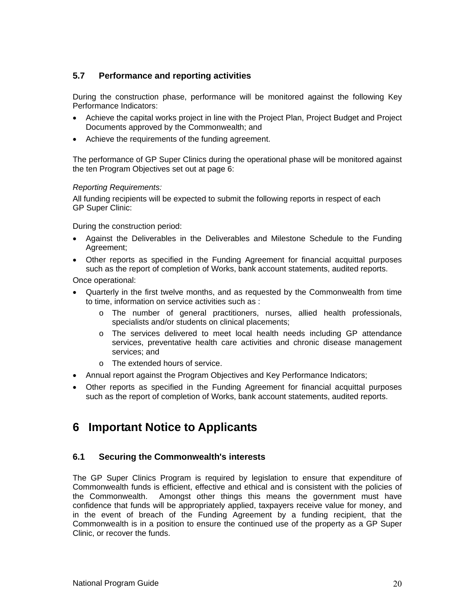#### **5.7 Performance and reporting activities**

During the construction phase, performance will be monitored against the following Key Performance Indicators:

- Achieve the capital works project in line with the Project Plan, Project Budget and Project Documents approved by the Commonwealth; and
- Achieve the requirements of the funding agreement.

The performance of GP Super Clinics during the operational phase will be monitored against the ten Program Objectives set out at page 6:

#### *Reporting Requirements:*

All funding recipients will be expected to submit the following reports in respect of each GP Super Clinic:

During the construction period:

- Against the Deliverables in the Deliverables and Milestone Schedule to the Funding Agreement;
- Other reports as specified in the Funding Agreement for financial acquittal purposes such as the report of completion of Works, bank account statements, audited reports.

Once operational:

- Quarterly in the first twelve months, and as requested by the Commonwealth from time to time, information on service activities such as :
	- o The number of general practitioners, nurses, allied health professionals, specialists and/or students on clinical placements;
	- o The services delivered to meet local health needs including GP attendance services, preventative health care activities and chronic disease management services; and
	- o The extended hours of service.
- Annual report against the Program Objectives and Key Performance Indicators;
- Other reports as specified in the Funding Agreement for financial acquittal purposes such as the report of completion of Works, bank account statements, audited reports.

# **6 Important Notice to Applicants**

#### **6.1 Securing the Commonwealth's interests**

The GP Super Clinics Program is required by legislation to ensure that expenditure of Commonwealth funds is efficient, effective and ethical and is consistent with the policies of the Commonwealth. Amongst other things this means the government must have confidence that funds will be appropriately applied, taxpayers receive value for money, and in the event of breach of the Funding Agreement by a funding recipient, that the Commonwealth is in a position to ensure the continued use of the property as a GP Super Clinic, or recover the funds.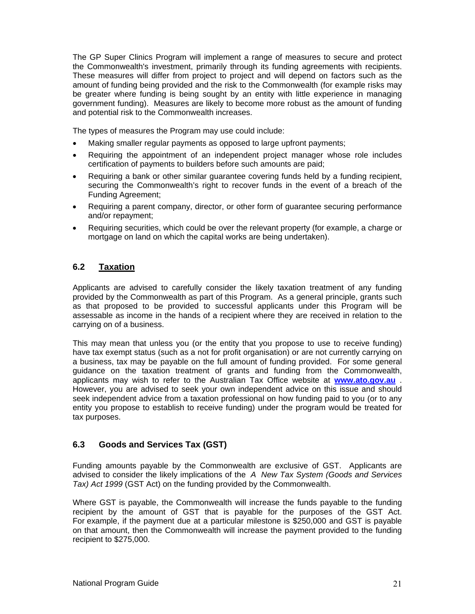The GP Super Clinics Program will implement a range of measures to secure and protect the Commonwealth's investment, primarily through its funding agreements with recipients. These measures will differ from project to project and will depend on factors such as the amount of funding being provided and the risk to the Commonwealth (for example risks may be greater where funding is being sought by an entity with little experience in managing government funding). Measures are likely to become more robust as the amount of funding and potential risk to the Commonwealth increases.

The types of measures the Program may use could include:

- Making smaller regular payments as opposed to large upfront payments;
- Requiring the appointment of an independent project manager whose role includes certification of payments to builders before such amounts are paid;
- Requiring a bank or other similar guarantee covering funds held by a funding recipient, securing the Commonwealth's right to recover funds in the event of a breach of the Funding Agreement;
- Requiring a parent company, director, or other form of guarantee securing performance and/or repayment;
- Requiring securities, which could be over the relevant property (for example, a charge or mortgage on land on which the capital works are being undertaken).

#### **6.2 Taxation**

Applicants are advised to carefully consider the likely taxation treatment of any funding provided by the Commonwealth as part of this Program. As a general principle, grants such as that proposed to be provided to successful applicants under this Program will be assessable as income in the hands of a recipient where they are received in relation to the carrying on of a business.

This may mean that unless you (or the entity that you propose to use to receive funding) have tax exempt status (such as a not for profit organisation) or are not currently carrying on a business, tax may be payable on the full amount of funding provided. For some general guidance on the taxation treatment of grants and funding from the Commonwealth, applicants may wish to refer to the Australian Tax Office website at **www.ato.gov.au** . However, you are advised to seek your own independent advice on this issue and should seek independent advice from a taxation professional on how funding paid to you (or to any entity you propose to establish to receive funding) under the program would be treated for tax purposes.

#### **6.3 Goods and Services Tax (GST)**

Funding amounts payable by the Commonwealth are exclusive of GST. Applicants are advised to consider the likely implications of the *A New Tax System (Goods and Services Tax) Act 1999* (GST Act) on the funding provided by the Commonwealth.

Where GST is payable, the Commonwealth will increase the funds payable to the funding recipient by the amount of GST that is payable for the purposes of the GST Act. For example, if the payment due at a particular milestone is \$250,000 and GST is payable on that amount, then the Commonwealth will increase the payment provided to the funding recipient to \$275,000.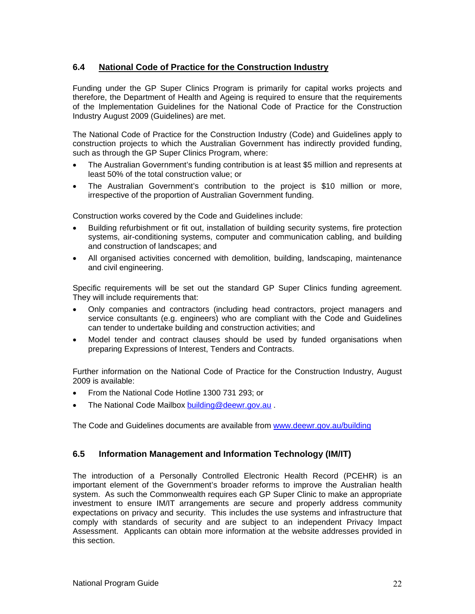#### **6.4 National Code of Practice for the Construction Industry**

Funding under the GP Super Clinics Program is primarily for capital works projects and therefore, the Department of Health and Ageing is required to ensure that the requirements of the Implementation Guidelines for the National Code of Practice for the Construction Industry August 2009 (Guidelines) are met.

The National Code of Practice for the Construction Industry (Code) and Guidelines apply to construction projects to which the Australian Government has indirectly provided funding, such as through the GP Super Clinics Program, where:

- The Australian Government's funding contribution is at least \$5 million and represents at least 50% of the total construction value; or
- The Australian Government's contribution to the project is \$10 million or more, irrespective of the proportion of Australian Government funding.

Construction works covered by the Code and Guidelines include:

- Building refurbishment or fit out, installation of building security systems, fire protection systems, air-conditioning systems, computer and communication cabling, and building and construction of landscapes; and
- All organised activities concerned with demolition, building, landscaping, maintenance and civil engineering.

Specific requirements will be set out the standard GP Super Clinics funding agreement. They will include requirements that:

- Only companies and contractors (including head contractors, project managers and service consultants (e.g. engineers) who are compliant with the Code and Guidelines can tender to undertake building and construction activities; and
- Model tender and contract clauses should be used by funded organisations when preparing Expressions of Interest, Tenders and Contracts.

Further information on the National Code of Practice for the Construction Industry, August 2009 is available:

- From the National Code Hotline 1300 731 293; or
- The National Code Mailbox building@deewr.gov.au.

The Code and Guidelines documents are available from www.deewr.gov.au/building

#### **6.5 Information Management and Information Technology (IM/IT)**

The introduction of a Personally Controlled Electronic Health Record (PCEHR) is an important element of the Government's broader reforms to improve the Australian health system. As such the Commonwealth requires each GP Super Clinic to make an appropriate investment to ensure IM/IT arrangements are secure and properly address community expectations on privacy and security. This includes the use systems and infrastructure that comply with standards of security and are subject to an independent Privacy Impact Assessment. Applicants can obtain more information at the website addresses provided in this section.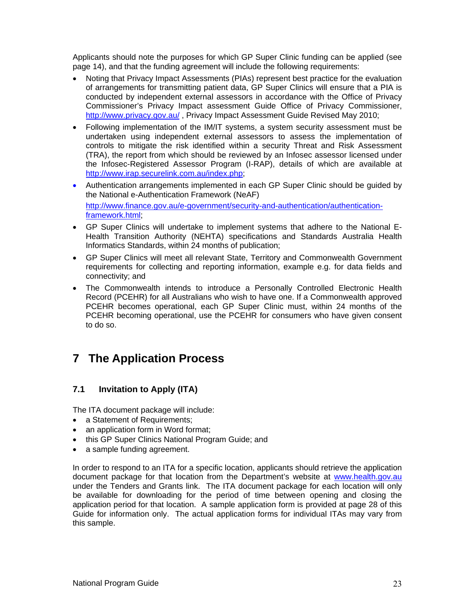Applicants should note the purposes for which GP Super Clinic funding can be applied (see page 14), and that the funding agreement will include the following requirements:

- Noting that Privacy Impact Assessments (PIAs) represent best practice for the evaluation of arrangements for transmitting patient data, GP Super Clinics will ensure that a PIA is conducted by independent external assessors in accordance with the Office of Privacy Commissioner's Privacy Impact assessment Guide Office of Privacy Commissioner, http://www.privacy.gov.au/, Privacy Impact Assessment Guide Revised May 2010;
- Following implementation of the IM/IT systems, a system security assessment must be undertaken using independent external assessors to assess the implementation of controls to mitigate the risk identified within a security Threat and Risk Assessment (TRA), the report from which should be reviewed by an Infosec assessor licensed under the Infosec-Registered Assessor Program (I-RAP), details of which are available at http://www.irap.securelink.com.au/index.php;
- Authentication arrangements implemented in each GP Super Clinic should be guided by the National e-Authentication Framework (NeAF) http://www.finance.gov.au/e-government/security-and-authentication/authenticationframework.html;
- GP Super Clinics will undertake to implement systems that adhere to the National E-Health Transition Authority (NEHTA) specifications and Standards Australia Health Informatics Standards, within 24 months of publication;
- GP Super Clinics will meet all relevant State, Territory and Commonwealth Government requirements for collecting and reporting information, example e.g. for data fields and connectivity; and
- The Commonwealth intends to introduce a Personally Controlled Electronic Health Record (PCEHR) for all Australians who wish to have one. If a Commonwealth approved PCEHR becomes operational, each GP Super Clinic must, within 24 months of the PCEHR becoming operational, use the PCEHR for consumers who have given consent to do so.

# **7 The Application Process**

#### **7.1 Invitation to Apply (ITA)**

The ITA document package will include:

- a Statement of Requirements;
- an application form in Word format;
- this GP Super Clinics National Program Guide; and
- a sample funding agreement.

In order to respond to an ITA for a specific location, applicants should retrieve the application document package for that location from the Department's website at www.health.gov.au under the Tenders and Grants link. The ITA document package for each location will only be available for downloading for the period of time between opening and closing the application period for that location. A sample application form is provided at page 28 of this Guide for information only. The actual application forms for individual ITAs may vary from this sample.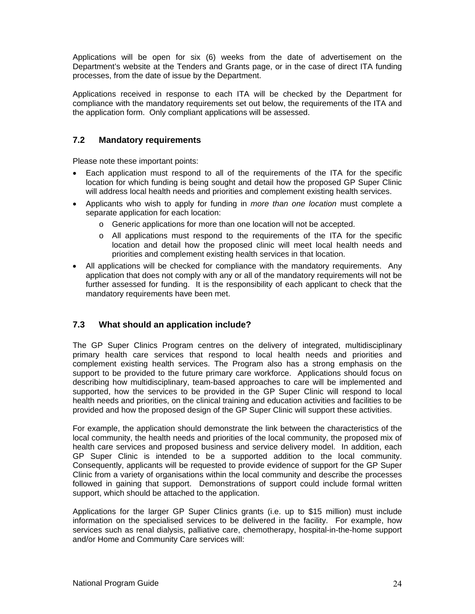Applications will be open for six (6) weeks from the date of advertisement on the Department's website at the Tenders and Grants page, or in the case of direct ITA funding processes, from the date of issue by the Department.

Applications received in response to each ITA will be checked by the Department for compliance with the mandatory requirements set out below, the requirements of the ITA and the application form. Only compliant applications will be assessed.

#### **7.2 Mandatory requirements**

Please note these important points:

- Each application must respond to all of the requirements of the ITA for the specific location for which funding is being sought and detail how the proposed GP Super Clinic will address local health needs and priorities and complement existing health services.
- Applicants who wish to apply for funding in *more than one location* must complete a separate application for each location:
	- o Generic applications for more than one location will not be accepted.
	- o All applications must respond to the requirements of the ITA for the specific location and detail how the proposed clinic will meet local health needs and priorities and complement existing health services in that location.
- All applications will be checked for compliance with the mandatory requirements. Any application that does not comply with any or all of the mandatory requirements will not be further assessed for funding. It is the responsibility of each applicant to check that the mandatory requirements have been met.

#### **7.3 What should an application include?**

The GP Super Clinics Program centres on the delivery of integrated, multidisciplinary primary health care services that respond to local health needs and priorities and complement existing health services. The Program also has a strong emphasis on the support to be provided to the future primary care workforce. Applications should focus on describing how multidisciplinary, team-based approaches to care will be implemented and supported, how the services to be provided in the GP Super Clinic will respond to local health needs and priorities, on the clinical training and education activities and facilities to be provided and how the proposed design of the GP Super Clinic will support these activities.

For example, the application should demonstrate the link between the characteristics of the local community, the health needs and priorities of the local community, the proposed mix of health care services and proposed business and service delivery model. In addition, each GP Super Clinic is intended to be a supported addition to the local community. Consequently, applicants will be requested to provide evidence of support for the GP Super Clinic from a variety of organisations within the local community and describe the processes followed in gaining that support. Demonstrations of support could include formal written support, which should be attached to the application.

Applications for the larger GP Super Clinics grants (i.e. up to \$15 million) must include information on the specialised services to be delivered in the facility. For example, how services such as renal dialysis, palliative care, chemotherapy, hospital-in-the-home support and/or Home and Community Care services will: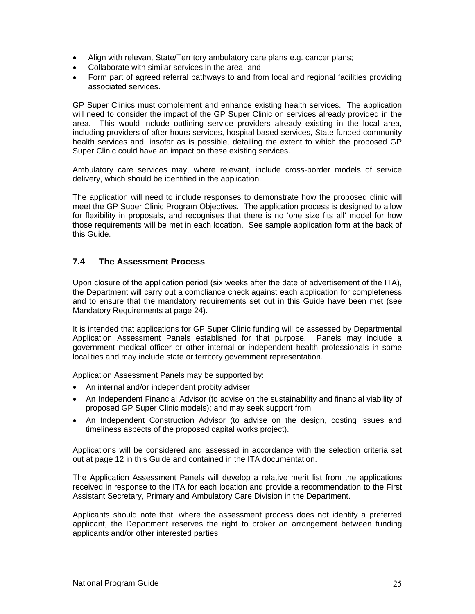- Align with relevant State/Territory ambulatory care plans e.g. cancer plans;
- Collaborate with similar services in the area; and
- Form part of agreed referral pathways to and from local and regional facilities providing associated services.

GP Super Clinics must complement and enhance existing health services. The application will need to consider the impact of the GP Super Clinic on services already provided in the area. This would include outlining service providers already existing in the local area, including providers of after-hours services, hospital based services, State funded community health services and, insofar as is possible, detailing the extent to which the proposed GP Super Clinic could have an impact on these existing services.

Ambulatory care services may, where relevant, include cross-border models of service delivery, which should be identified in the application.

The application will need to include responses to demonstrate how the proposed clinic will meet the GP Super Clinic Program Objectives. The application process is designed to allow for flexibility in proposals, and recognises that there is no 'one size fits all' model for how those requirements will be met in each location. See sample application form at the back of this Guide.

#### **7.4 The Assessment Process**

Upon closure of the application period (six weeks after the date of advertisement of the ITA), the Department will carry out a compliance check against each application for completeness and to ensure that the mandatory requirements set out in this Guide have been met (see Mandatory Requirements at page 24).

It is intended that applications for GP Super Clinic funding will be assessed by Departmental Application Assessment Panels established for that purpose. Panels may include a government medical officer or other internal or independent health professionals in some localities and may include state or territory government representation.

Application Assessment Panels may be supported by:

- An internal and/or independent probity adviser:
- An Independent Financial Advisor (to advise on the sustainability and financial viability of proposed GP Super Clinic models); and may seek support from
- An Independent Construction Advisor (to advise on the design, costing issues and timeliness aspects of the proposed capital works project).

Applications will be considered and assessed in accordance with the selection criteria set out at page 12 in this Guide and contained in the ITA documentation.

The Application Assessment Panels will develop a relative merit list from the applications received in response to the ITA for each location and provide a recommendation to the First Assistant Secretary, Primary and Ambulatory Care Division in the Department.

Applicants should note that, where the assessment process does not identify a preferred applicant, the Department reserves the right to broker an arrangement between funding applicants and/or other interested parties.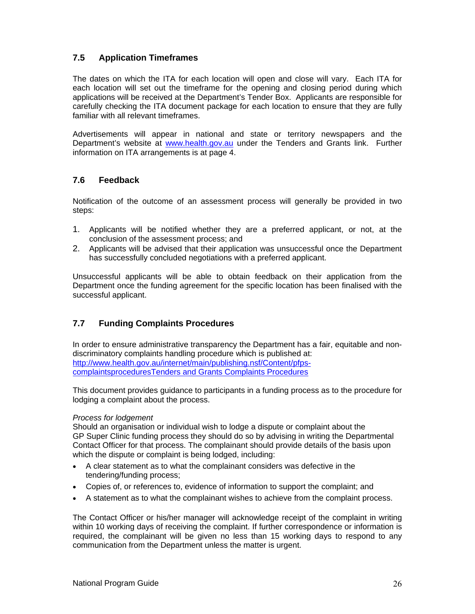#### **7.5 Application Timeframes**

The dates on which the ITA for each location will open and close will vary. Each ITA for each location will set out the timeframe for the opening and closing period during which applications will be received at the Department's Tender Box. Applicants are responsible for carefully checking the ITA document package for each location to ensure that they are fully familiar with all relevant timeframes.

Advertisements will appear in national and state or territory newspapers and the Department's website at www.health.gov.au under the Tenders and Grants link. Further information on ITA arrangements is at page 4.

#### **7.6 Feedback**

Notification of the outcome of an assessment process will generally be provided in two steps:

- 1. Applicants will be notified whether they are a preferred applicant, or not, at the conclusion of the assessment process; and
- 2. Applicants will be advised that their application was unsuccessful once the Department has successfully concluded negotiations with a preferred applicant.

Unsuccessful applicants will be able to obtain feedback on their application from the Department once the funding agreement for the specific location has been finalised with the successful applicant.

#### **7.7 Funding Complaints Procedures**

In order to ensure administrative transparency the Department has a fair, equitable and nondiscriminatory complaints handling procedure which is published at: http://www.health.gov.au/internet/main/publishing.nsf/Content/pfpscomplaintsproceduresTenders and Grants Complaints Procedures

This document provides guidance to participants in a funding process as to the procedure for lodging a complaint about the process.

#### *Process for lodgement*

Should an organisation or individual wish to lodge a dispute or complaint about the GP Super Clinic funding process they should do so by advising in writing the Departmental Contact Officer for that process. The complainant should provide details of the basis upon which the dispute or complaint is being lodged, including:

- A clear statement as to what the complainant considers was defective in the tendering/funding process;
- Copies of, or references to, evidence of information to support the complaint; and
- A statement as to what the complainant wishes to achieve from the complaint process.

The Contact Officer or his/her manager will acknowledge receipt of the complaint in writing within 10 working days of receiving the complaint. If further correspondence or information is required, the complainant will be given no less than 15 working days to respond to any communication from the Department unless the matter is urgent.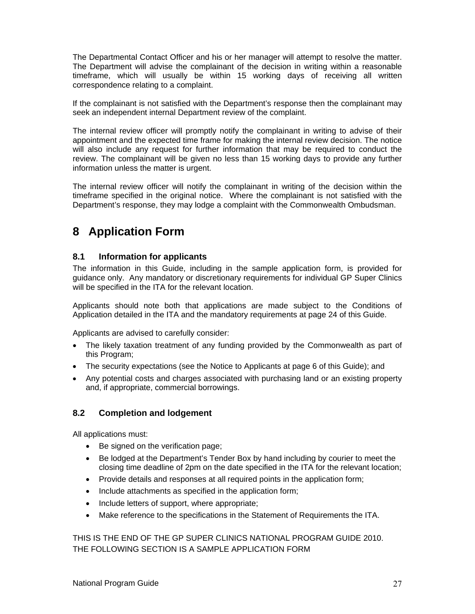The Departmental Contact Officer and his or her manager will attempt to resolve the matter. The Department will advise the complainant of the decision in writing within a reasonable timeframe, which will usually be within 15 working days of receiving all written correspondence relating to a complaint.

If the complainant is not satisfied with the Department's response then the complainant may seek an independent internal Department review of the complaint.

The internal review officer will promptly notify the complainant in writing to advise of their appointment and the expected time frame for making the internal review decision. The notice will also include any request for further information that may be required to conduct the review. The complainant will be given no less than 15 working days to provide any further information unless the matter is urgent.

The internal review officer will notify the complainant in writing of the decision within the timeframe specified in the original notice. Where the complainant is not satisfied with the Department's response, they may lodge a complaint with the Commonwealth Ombudsman.

# **8 Application Form**

#### **8.1 Information for applicants**

The information in this Guide, including in the sample application form, is provided for guidance only. Any mandatory or discretionary requirements for individual GP Super Clinics will be specified in the ITA for the relevant location.

Applicants should note both that applications are made subject to the Conditions of Application detailed in the ITA and the mandatory requirements at page 24 of this Guide.

Applicants are advised to carefully consider:

- The likely taxation treatment of any funding provided by the Commonwealth as part of this Program;
- The security expectations (see the Notice to Applicants at page 6 of this Guide); and
- Any potential costs and charges associated with purchasing land or an existing property and, if appropriate, commercial borrowings.

#### **8.2 Completion and lodgement**

All applications must:

- Be signed on the verification page;
- Be lodged at the Department's Tender Box by hand including by courier to meet the closing time deadline of 2pm on the date specified in the ITA for the relevant location;
- Provide details and responses at all required points in the application form;
- Include attachments as specified in the application form;
- Include letters of support, where appropriate;
- Make reference to the specifications in the Statement of Requirements the ITA.

THIS IS THE END OF THE GP SUPER CLINICS NATIONAL PROGRAM GUIDE 2010. THE FOLLOWING SECTION IS A SAMPLE APPLICATION FORM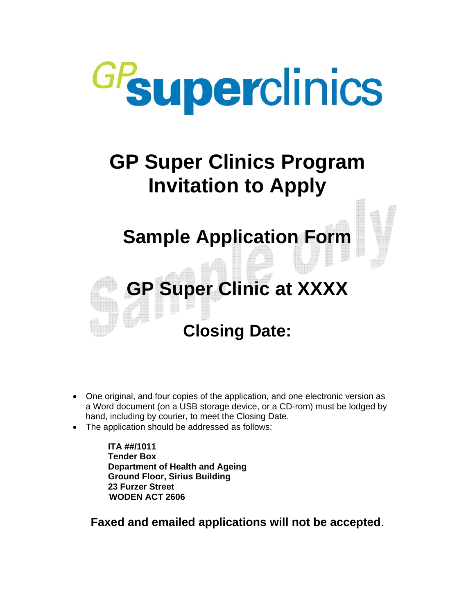

# **GP Super Clinics Program Invitation to Apply**

# **Sample Application Form**

# **GP Super Clinic at XXXX Closing Date:**

## • One original, and four copies of the application, and one electronic version as a Word document (on a USB storage device, or a CD-rom) must be lodged by hand, including by courier, to meet the Closing Date.

The application should be addressed as follows:

**ITA ##/1011 Tender Box Department of Health and Ageing Ground Floor, Sirius Building 23 Furzer Street WODEN ACT 2606** 

**Faxed and emailed applications will not be accepted**.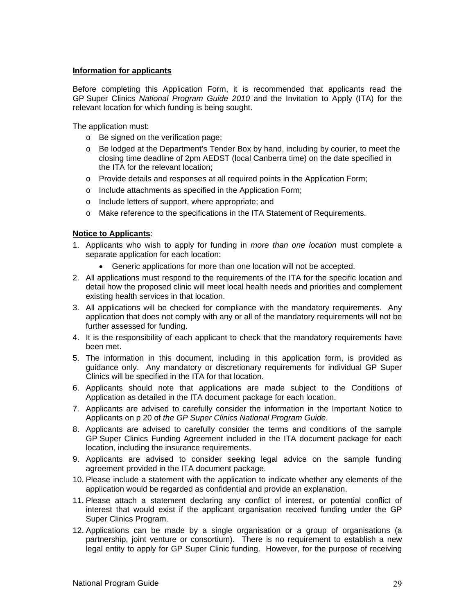#### **Information for applicants**

Before completing this Application Form, it is recommended that applicants read the GP Super Clinics *National Program Guide 2010* and the Invitation to Apply (ITA) for the relevant location for which funding is being sought.

The application must:

- o Be signed on the verification page;
- $\circ$  Be lodged at the Department's Tender Box by hand, including by courier, to meet the closing time deadline of 2pm AEDST (local Canberra time) on the date specified in the ITA for the relevant location;
- o Provide details and responses at all required points in the Application Form;
- o Include attachments as specified in the Application Form;
- o Include letters of support, where appropriate; and
- o Make reference to the specifications in the ITA Statement of Requirements.

#### **Notice to Applicants**:

- 1. Applicants who wish to apply for funding in *more than one location* must complete a separate application for each location:
	- Generic applications for more than one location will not be accepted.
- 2. All applications must respond to the requirements of the ITA for the specific location and detail how the proposed clinic will meet local health needs and priorities and complement existing health services in that location.
- 3. All applications will be checked for compliance with the mandatory requirements. Any application that does not comply with any or all of the mandatory requirements will not be further assessed for funding.
- 4. It is the responsibility of each applicant to check that the mandatory requirements have been met.
- 5. The information in this document, including in this application form, is provided as guidance only. Any mandatory or discretionary requirements for individual GP Super Clinics will be specified in the ITA for that location.
- 6. Applicants should note that applications are made subject to the Conditions of Application as detailed in the ITA document package for each location.
- 7. Applicants are advised to carefully consider the information in the Important Notice to Applicants on p 20 of *the GP Super Clinics National Program Guide*.
- 8. Applicants are advised to carefully consider the terms and conditions of the sample GP Super Clinics Funding Agreement included in the ITA document package for each location, including the insurance requirements.
- 9. Applicants are advised to consider seeking legal advice on the sample funding agreement provided in the ITA document package.
- 10. Please include a statement with the application to indicate whether any elements of the application would be regarded as confidential and provide an explanation.
- 11. Please attach a statement declaring any conflict of interest, or potential conflict of interest that would exist if the applicant organisation received funding under the GP Super Clinics Program.
- 12. Applications can be made by a single organisation or a group of organisations (a partnership, joint venture or consortium). There is no requirement to establish a new legal entity to apply for GP Super Clinic funding. However, for the purpose of receiving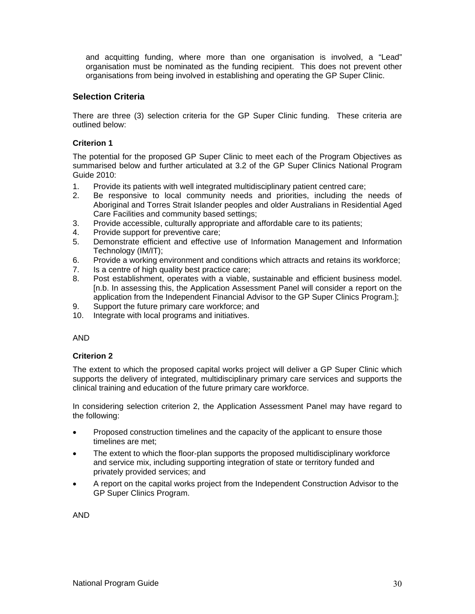and acquitting funding, where more than one organisation is involved, a "Lead" organisation must be nominated as the funding recipient. This does not prevent other organisations from being involved in establishing and operating the GP Super Clinic.

#### **Selection Criteria**

There are three (3) selection criteria for the GP Super Clinic funding. These criteria are outlined below:

#### **Criterion 1**

The potential for the proposed GP Super Clinic to meet each of the Program Objectives as summarised below and further articulated at 3.2 of the GP Super Clinics National Program Guide 2010:

- 1. Provide its patients with well integrated multidisciplinary patient centred care;
- 2. Be responsive to local community needs and priorities, including the needs of Aboriginal and Torres Strait Islander peoples and older Australians in Residential Aged Care Facilities and community based settings;
- 3. Provide accessible, culturally appropriate and affordable care to its patients;
- 4. Provide support for preventive care;
- 5. Demonstrate efficient and effective use of Information Management and Information Technology (IM/IT);
- 6. Provide a working environment and conditions which attracts and retains its workforce;
- 7. Is a centre of high quality best practice care;
- 8. Post establishment, operates with a viable, sustainable and efficient business model. [n.b. In assessing this, the Application Assessment Panel will consider a report on the application from the Independent Financial Advisor to the GP Super Clinics Program.];
- 9. Support the future primary care workforce; and
- 10. Integrate with local programs and initiatives.

#### AND

#### **Criterion 2**

The extent to which the proposed capital works project will deliver a GP Super Clinic which supports the delivery of integrated, multidisciplinary primary care services and supports the clinical training and education of the future primary care workforce.

In considering selection criterion 2, the Application Assessment Panel may have regard to the following:

- Proposed construction timelines and the capacity of the applicant to ensure those timelines are met;
- The extent to which the floor-plan supports the proposed multidisciplinary workforce and service mix, including supporting integration of state or territory funded and privately provided services; and
- A report on the capital works project from the Independent Construction Advisor to the GP Super Clinics Program.

AND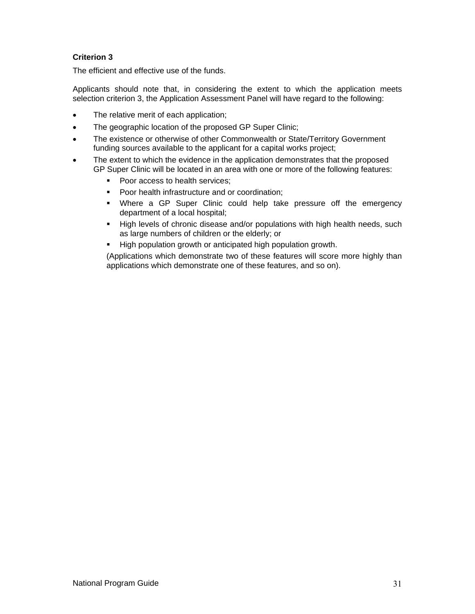#### **Criterion 3**

The efficient and effective use of the funds.

Applicants should note that, in considering the extent to which the application meets selection criterion 3, the Application Assessment Panel will have regard to the following:

- The relative merit of each application;
- The geographic location of the proposed GP Super Clinic;
- The existence or otherwise of other Commonwealth or State/Territory Government funding sources available to the applicant for a capital works project;
- The extent to which the evidence in the application demonstrates that the proposed GP Super Clinic will be located in an area with one or more of the following features:
	- Poor access to health services;
	- **Poor health infrastructure and or coordination;**
	- Where a GP Super Clinic could help take pressure off the emergency department of a local hospital;
	- High levels of chronic disease and/or populations with high health needs, such as large numbers of children or the elderly; or
	- High population growth or anticipated high population growth.

(Applications which demonstrate two of these features will score more highly than applications which demonstrate one of these features, and so on).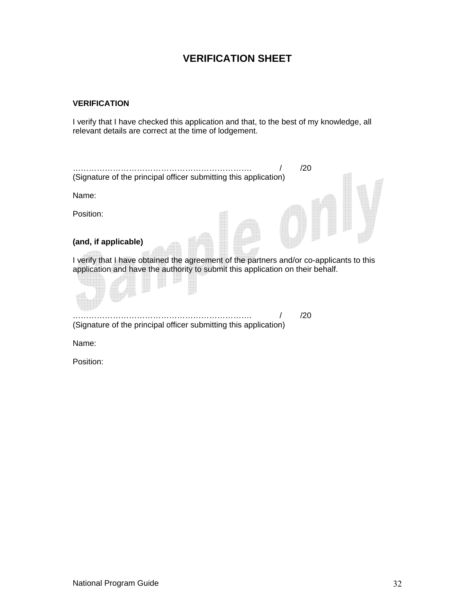## **VERIFICATION SHEET**

#### **VERIFICATION**

I verify that I have checked this application and that, to the best of my knowledge, all relevant details are correct at the time of lodgement.



Position: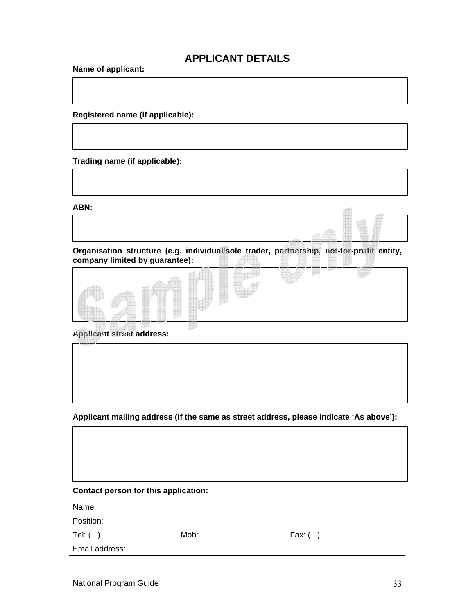## **APPLICANT DETAILS**

**Name of applicant:** 

**Registered name (if applicable):** 

**Trading name (if applicable):** 

**ABN:** 



**company limited by guarantee):** 



**Applicant street address:** 

**Applicant mailing address (if the same as street address, please indicate 'As above'):** 

#### **Contact person for this application:**

Name:

Position:

Tel: ( ) Mob: Fax: ( )

Email address: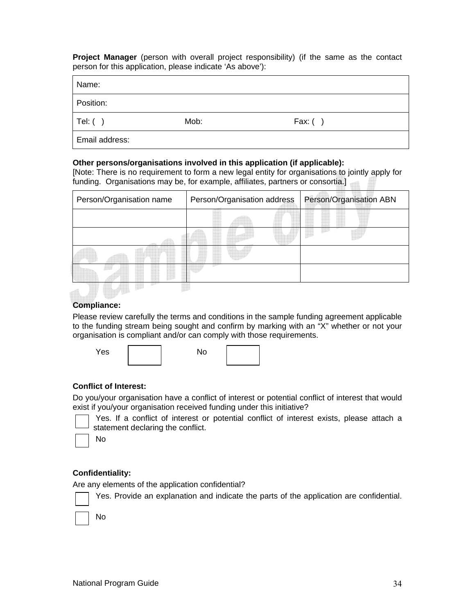**Project Manager** (person with overall project responsibility) (if the same as the contact person for this application, please indicate 'As above'):

Name:

Position:

Tel: ( ) Mob: Fax: ( )

Email address:

#### **Other persons/organisations involved in this application (if applicable):**

[Note: There is no requirement to form a new legal entity for organisations to jointly apply for funding. Organisations may be, for example, affiliates, partners or consortia.]

| Person/Organisation name |  |  |  | Person/Organisation address |  |  | Person/Organisation ABN |  |  |  |  |  |
|--------------------------|--|--|--|-----------------------------|--|--|-------------------------|--|--|--|--|--|
|                          |  |  |  |                             |  |  |                         |  |  |  |  |  |
|                          |  |  |  |                             |  |  |                         |  |  |  |  |  |
|                          |  |  |  |                             |  |  |                         |  |  |  |  |  |
|                          |  |  |  |                             |  |  |                         |  |  |  |  |  |
|                          |  |  |  |                             |  |  |                         |  |  |  |  |  |

#### **Compliance:**

Please review carefully the terms and conditions in the sample funding agreement applicable to the funding stream being sought and confirm by marking with an "X" whether or not your organisation is compliant and/or can comply with those requirements.

| Yes | No |  |
|-----|----|--|
|     |    |  |

#### **Conflict of Interest:**

Do you/your organisation have a conflict of interest or potential conflict of interest that would exist if you/your organisation received funding under this initiative?

 Yes. If a conflict of interest or potential conflict of interest exists, please attach a statement declaring the conflict.

No

#### **Confidentiality:**

Are any elements of the application confidential?

Yes. Provide an explanation and indicate the parts of the application are confidential.

No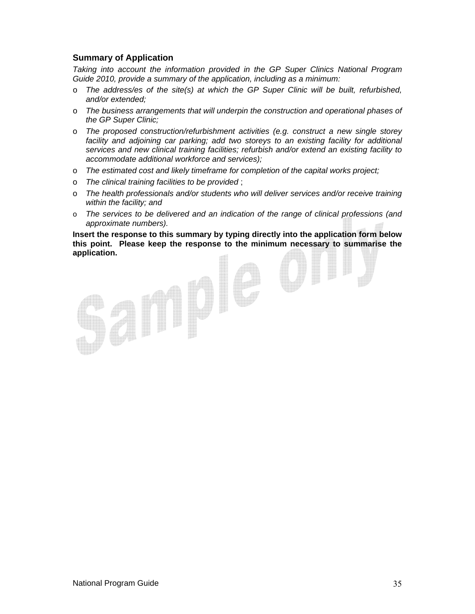#### **Summary of Application**

*Taking into account the information provided in the GP Super Clinics National Program Guide 2010, provide a summary of the application, including as a minimum:* 

- o *The address/es of the site(s) at which the GP Super Clinic will be built, refurbished, and/or extended;*
- o *The business arrangements that will underpin the construction and operational phases of the GP Super Clinic;*
- o *The proposed construction/refurbishment activities (e.g. construct a new single storey*  facility and adjoining car parking; add two storeys to an existing facility for additional *services and new clinical training facilities; refurbish and/or extend an existing facility to accommodate additional workforce and services);*
- o *The estimated cost and likely timeframe for completion of the capital works project;*
- o *The clinical training facilities to be provided* ;
- o *The health professionals and/or students who will deliver services and/or receive training within the facility; and*
- o *The services to be delivered and an indication of the range of clinical professions (and approximate numbers).*

**Insert the response to this summary by typing directly into the application form below this point. Please keep the response to the minimum necessary to summarise the application.**

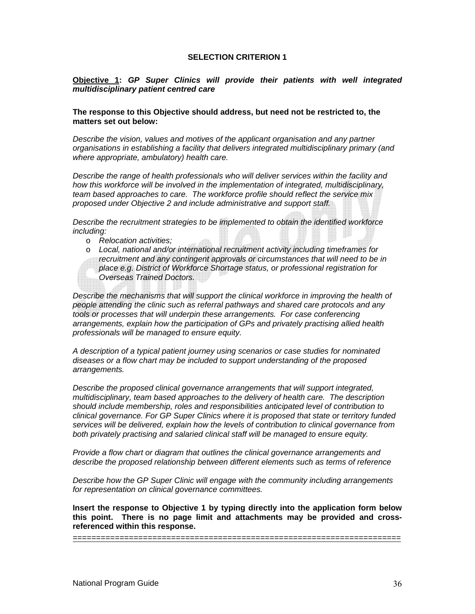#### **SELECTION CRITERION 1**

#### **Objective 1:** *GP Super Clinics will provide their patients with well integrated multidisciplinary patient centred care*

#### **The response to this Objective should address, but need not be restricted to, the matters set out below:**

*Describe the vision, values and motives of the applicant organisation and any partner organisations in establishing a facility that delivers integrated multidisciplinary primary (and where appropriate, ambulatory) health care.* 

*Describe the range of health professionals who will deliver services within the facility and how this workforce will be involved in the implementation of integrated, multidisciplinary, team based approaches to care. The workforce profile should reflect the service mix proposed under Objective 2 and include administrative and support staff.* 

*Describe the recruitment strategies to be implemented to obtain the identified workforce including:* 

o *Relocation activities;* 

o *Local, national and/or international recruitment activity including timeframes for recruitment and any contingent approvals or circumstances that will need to be in place e.g. District of Workforce Shortage status, or professional registration for Overseas Trained Doctors.* 

*Describe the mechanisms that will support the clinical workforce in improving the health of people attending the clinic such as referral pathways and shared care protocols and any tools or processes that will underpin these arrangements. For case conferencing arrangements, explain how the participation of GPs and privately practising allied health professionals will be managed to ensure equity.* 

*A description of a typical patient journey using scenarios or case studies for nominated diseases or a flow chart may be included to support understanding of the proposed arrangements.* 

*Describe the proposed clinical governance arrangements that will support integrated, multidisciplinary, team based approaches to the delivery of health care. The description should include membership, roles and responsibilities anticipated level of contribution to clinical governance. For GP Super Clinics where it is proposed that state or territory funded services will be delivered, explain how the levels of contribution to clinical governance from both privately practising and salaried clinical staff will be managed to ensure equity.* 

*Provide a flow chart or diagram that outlines the clinical governance arrangements and describe the proposed relationship between different elements such as terms of reference* 

*Describe how the GP Super Clinic will engage with the community including arrangements for representation on clinical governance committees.* 

**Insert the response to Objective 1 by typing directly into the application form below this point. There is no page limit and attachments may be provided and crossreferenced within this response.**

======================================================================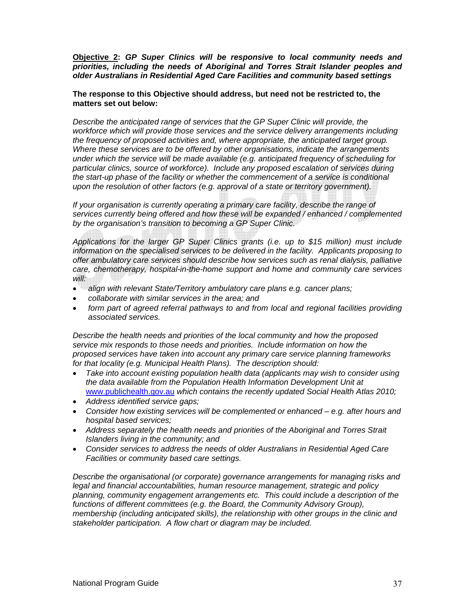**Objective 2:** *GP Super Clinics will be responsive to local community needs and priorities, including the needs of Aboriginal and Torres Strait Islander peoples and older Australians in Residential Aged Care Facilities and community based settings* 

**The response to this Objective should address, but need not be restricted to, the matters set out below:** 

*Describe the anticipated range of services that the GP Super Clinic will provide, the workforce which will provide those services and the service delivery arrangements including the frequency of proposed activities and, where appropriate, the anticipated target group. Where these services are to be offered by other organisations, indicate the arrangements under which the service will be made available (e.g. anticipated frequency of scheduling for particular clinics, source of workforce). Include any proposed escalation of services during the start-up phase of the facility or whether the commencement of a service is conditional upon the resolution of other factors (e.g. approval of a state or territory government).* 

*If your organisation is currently operating a primary care facility, describe the range of services currently being offered and how these will be expanded / enhanced / complemented by the organisation's transition to becoming a GP Super Clinic.* 

*Applications for the larger GP Super Clinics grants (i.e. up to \$15 million) must include information on the specialised services to be delivered in the facility. Applicants proposing to offer ambulatory care services should describe how services such as renal dialysis, palliative care, chemotherapy, hospital-in-the-home support and home and community care services will:* 

- *align with relevant State/Territory ambulatory care plans e.g. cancer plans;*
- *collaborate with similar services in the area; and*
- *form part of agreed referral pathways to and from local and regional facilities providing associated services.*

*Describe the health needs and priorities of the local community and how the proposed service mix responds to those needs and priorities. Include information on how the proposed services have taken into account any primary care service planning frameworks for that locality (e.g. Municipal Health Plans). The description should:* 

- *Take into account existing population health data (applicants may wish to consider using the data available from the Population Health Information Development Unit at*  www.publichealth.gov.au *which contains the recently updated Social Health Atlas 2010;*
- *Address identified service gaps;*
- *Consider how existing services will be complemented or enhanced e.g. after hours and hospital based services;*
- *Address separately the health needs and priorities of the Aboriginal and Torres Strait Islanders living in the community; and*
- *Consider services to address the needs of older Australians in Residential Aged Care Facilities or community based care settings.*

*Describe the organisational (or corporate) governance arrangements for managing risks and legal and financial accountabilities, human resource management, strategic and policy planning, community engagement arrangements etc. This could include a description of the functions of different committees (e.g. the Board, the Community Advisory Group), membership (including anticipated skills), the relationship with other groups in the clinic and stakeholder participation. A flow chart or diagram may be included.*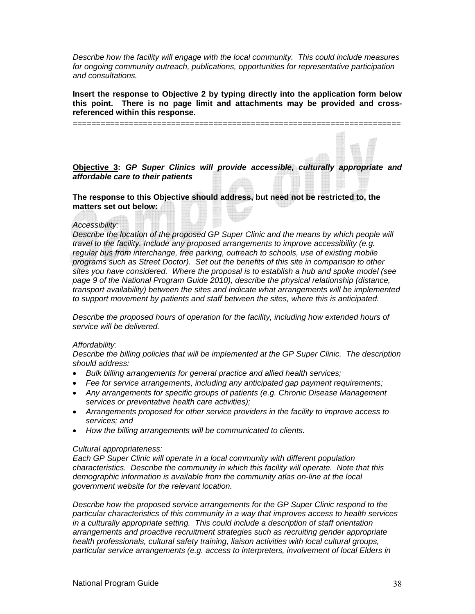*Describe how the facility will engage with the local community. This could include measures for ongoing community outreach, publications, opportunities for representative participation and consultations.* 

**Insert the response to Objective 2 by typing directly into the application form below this point. There is no page limit and attachments may be provided and crossreferenced within this response.** 

======================================================================

**Objective 3:** *GP Super Clinics will provide accessible, culturally appropriate and affordable care to their patients* 

**The response to this Objective should address, but need not be restricted to, the matters set out below:** 

#### *Accessibility:*

*Describe the location of the proposed GP Super Clinic and the means by which people will travel to the facility. Include any proposed arrangements to improve accessibility (e.g. regular bus from interchange, free parking, outreach to schools, use of existing mobile programs such as Street Doctor). Set out the benefits of this site in comparison to other sites you have considered. Where the proposal is to establish a hub and spoke model (see page 9 of the National Program Guide 2010), describe the physical relationship (distance, transport availability) between the sites and indicate what arrangements will be implemented to support movement by patients and staff between the sites, where this is anticipated.* 

*Describe the proposed hours of operation for the facility, including how extended hours of service will be delivered.* 

#### *Affordability:*

*Describe the billing policies that will be implemented at the GP Super Clinic. The description should address:* 

- *Bulk billing arrangements for general practice and allied health services;*
- *Fee for service arrangements, including any anticipated gap payment requirements;*
- *Any arrangements for specific groups of patients (e.g. Chronic Disease Management services or preventative health care activities);*
- *Arrangements proposed for other service providers in the facility to improve access to services; and*
- *How the billing arrangements will be communicated to clients.*

#### *Cultural appropriateness:*

*Each GP Super Clinic will operate in a local community with different population characteristics. Describe the community in which this facility will operate. Note that this demographic information is available from the community atlas on-line at the local government website for the relevant location.* 

*Describe how the proposed service arrangements for the GP Super Clinic respond to the particular characteristics of this community in a way that improves access to health services in a culturally appropriate setting. This could include a description of staff orientation arrangements and proactive recruitment strategies such as recruiting gender appropriate health professionals, cultural safety training, liaison activities with local cultural groups, particular service arrangements (e.g. access to interpreters, involvement of local Elders in*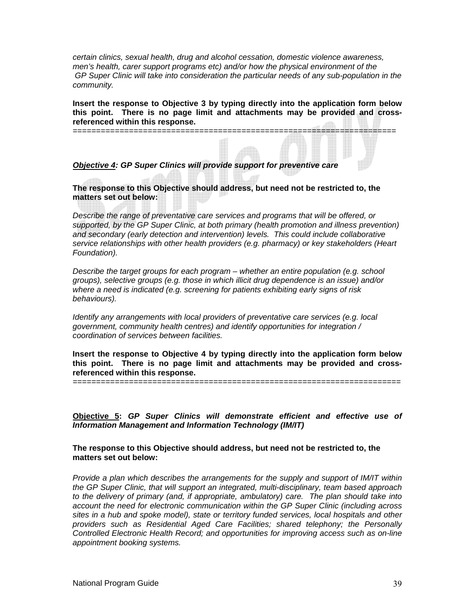*certain clinics, sexual health, drug and alcohol cessation, domestic violence awareness, men's health, carer support programs etc) and/or how the physical environment of the GP Super Clinic will take into consideration the particular needs of any sub-population in the community.* 

**Insert the response to Objective 3 by typing directly into the application form below this point. There is no page limit and attachments may be provided and crossreferenced within this response.**

*Objective 4: GP Super Clinics will provide support for preventive care* 

=====================================================================

**The response to this Objective should address, but need not be restricted to, the matters set out below:** 

*Describe the range of preventative care services and programs that will be offered, or supported, by the GP Super Clinic, at both primary (health promotion and illness prevention) and secondary (early detection and intervention) levels. This could include collaborative service relationships with other health providers (e.g. pharmacy) or key stakeholders (Heart Foundation).* 

*Describe the target groups for each program – whether an entire population (e.g. school groups), selective groups (e.g. those in which illicit drug dependence is an issue) and/or where a need is indicated (e.g. screening for patients exhibiting early signs of risk behaviours).* 

*Identify any arrangements with local providers of preventative care services (e.g. local government, community health centres) and identify opportunities for integration / coordination of services between facilities.* 

**Insert the response to Objective 4 by typing directly into the application form below this point. There is no page limit and attachments may be provided and crossreferenced within this response.**

======================================================================

**Objective 5:** *GP Super Clinics will demonstrate efficient and effective use of Information Management and Information Technology (IM/IT)*

**The response to this Objective should address, but need not be restricted to, the matters set out below:** 

*Provide a plan which describes the arrangements for the supply and support of IM/IT within the GP Super Clinic, that will support an integrated, multi-disciplinary, team based approach to the delivery of primary (and, if appropriate, ambulatory) care. The plan should take into account the need for electronic communication within the GP Super Clinic (including across sites in a hub and spoke model), state or territory funded services, local hospitals and other providers such as Residential Aged Care Facilities; shared telephony; the Personally Controlled Electronic Health Record; and opportunities for improving access such as on-line appointment booking systems.*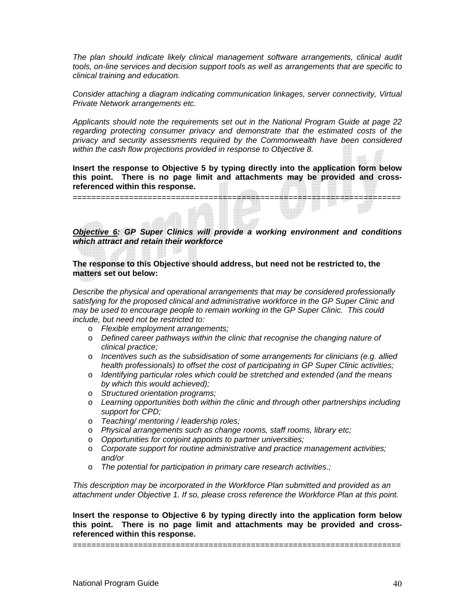*The plan should indicate likely clinical management software arrangements, clinical audit tools, on-line services and decision support tools as well as arrangements that are specific to clinical training and education.* 

*Consider attaching a diagram indicating communication linkages, server connectivity, Virtual Private Network arrangements etc.* 

*Applicants should note the requirements set out in the National Program Guide at page 22 regarding protecting consumer privacy and demonstrate that the estimated costs of the privacy and security assessments required by the Commonwealth have been considered within the cash flow projections provided in response to Objective 8.* 

**Insert the response to Objective 5 by typing directly into the application form below this point. There is no page limit and attachments may be provided and crossreferenced within this response.**

============================ 

*Objective 6: GP Super Clinics will provide a working environment and conditions which attract and retain their workforce* 

#### **The response to this Objective should address, but need not be restricted to, the matters set out below:**

*Describe the physical and operational arrangements that may be considered professionally satisfying for the proposed clinical and administrative workforce in the GP Super Clinic and may be used to encourage people to remain working in the GP Super Clinic. This could include, but need not be restricted to:* 

- o *Flexible employment arrangements;*
- o *Defined career pathways within the clinic that recognise the changing nature of clinical practice;*
- o *Incentives such as the subsidisation of some arrangements for clinicians (e.g. allied health professionals) to offset the cost of participating in GP Super Clinic activities;*
- o *Identifying particular roles which could be stretched and extended (and the means by which this would achieved);*
- o *Structured orientation programs;*
- o *Learning opportunities both within the clinic and through other partnerships including support for CPD;*
- o *Teaching/ mentoring / leadership roles;*
- o *Physical arrangements such as change rooms, staff rooms, library etc;*
- o *Opportunities for conjoint appoints to partner universities;*
- o *Corporate support for routine administrative and practice management activities; and/or*
- o *The potential for participation in primary care research activities.;*

*This description may be incorporated in the Workforce Plan submitted and provided as an attachment under Objective 1. If so, please cross reference the Workforce Plan at this point.* 

**Insert the response to Objective 6 by typing directly into the application form below this point. There is no page limit and attachments may be provided and crossreferenced within this response.**

======================================================================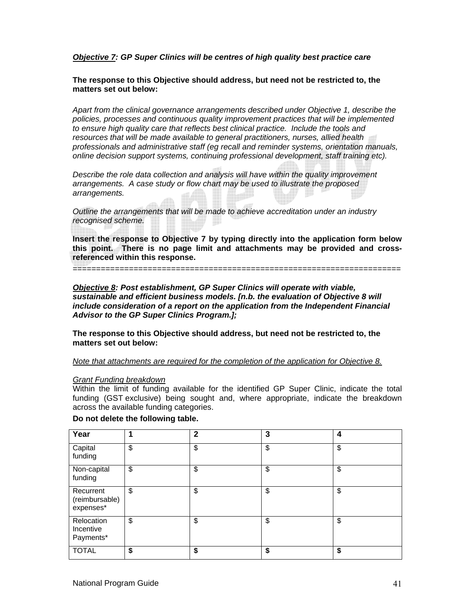#### *Objective 7: GP Super Clinics will be centres of high quality best practice care*

**The response to this Objective should address, but need not be restricted to, the matters set out below:** 

*Apart from the clinical governance arrangements described under Objective 1, describe the policies, processes and continuous quality improvement practices that will be implemented to ensure high quality care that reflects best clinical practice. Include the tools and resources that will be made available to general practitioners, nurses, allied health professionals and administrative staff (eg recall and reminder systems, orientation manuals, online decision support systems, continuing professional development, staff training etc).* 

*Describe the role data collection and analysis will have within the quality improvement arrangements. A case study or flow chart may be used to illustrate the proposed arrangements.* 

*Outline the arrangements that will be made to achieve accreditation under an industry recognised scheme.* 

**Insert the response to Objective 7 by typing directly into the application form below this point. There is no page limit and attachments may be provided and crossreferenced within this response.**

======================================================================

*Objective 8: Post establishment, GP Super Clinics will operate with viable, sustainable and efficient business models. [n.b. the evaluation of Objective 8 will include consideration of a report on the application from the Independent Financial Advisor to the GP Super Clinics Program.];* 

**The response to this Objective should address, but need not be restricted to, the matters set out below:** 

*Note that attachments are required for the completion of the application for Objective 8.*

#### *Grant Funding breakdown*

Within the limit of funding available for the identified GP Super Clinic, indicate the total funding (GST exclusive) being sought and, where appropriate, indicate the breakdown across the available funding categories.

#### **Do not delete the following table.**

| Year                                     | 1  | $\mathbf{2}$ | 3  | 4  |
|------------------------------------------|----|--------------|----|----|
| Capital<br>funding                       | \$ | \$           | \$ | \$ |
| Non-capital<br>funding                   | \$ | \$           | \$ | \$ |
| Recurrent<br>(reimbursable)<br>expenses* | \$ | \$           | \$ | \$ |
| Relocation<br>Incentive<br>Payments*     | \$ | \$           | \$ | \$ |
| <b>TOTAL</b>                             | \$ | \$           | \$ | \$ |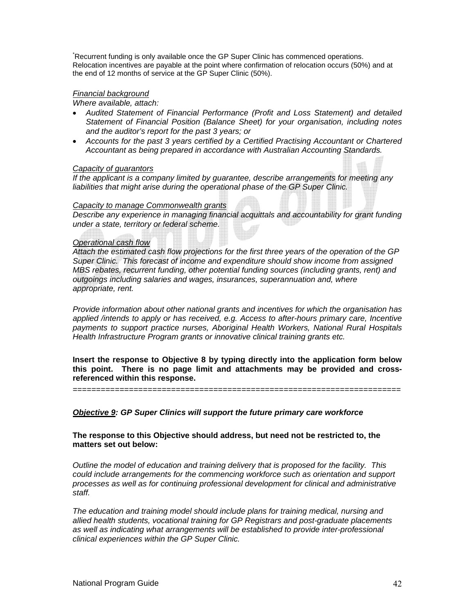\* Recurrent funding is only available once the GP Super Clinic has commenced operations. Relocation incentives are payable at the point where confirmation of relocation occurs (50%) and at the end of 12 months of service at the GP Super Clinic (50%).

#### *Financial background*

*Where available, attach:* 

- *Audited Statement of Financial Performance (Profit and Loss Statement) and detailed Statement of Financial Position (Balance Sheet) for your organisation, including notes and the auditor's report for the past 3 years; or*
- *Accounts for the past 3 years certified by a Certified Practising Accountant or Chartered Accountant as being prepared in accordance with Australian Accounting Standards.*

#### *Capacity of guarantors*

*If the applicant is a company limited by guarantee, describe arrangements for meeting any liabilities that might arise during the operational phase of the GP Super Clinic.* 

#### *Capacity to manage Commonwealth grants*

*Describe any experience in managing financial acquittals and accountability for grant funding under a state, territory or federal scheme.* 

#### *Operational cash flow*

*Attach the estimated cash flow projections for the first three years of the operation of the GP Super Clinic. This forecast of income and expenditure should show income from assigned MBS rebates, recurrent funding, other potential funding sources (including grants, rent) and outgoings including salaries and wages, insurances, superannuation and, where appropriate, rent.* 

*Provide information about other national grants and incentives for which the organisation has applied /intends to apply or has received, e.g. Access to after-hours primary care, Incentive payments to support practice nurses, Aboriginal Health Workers, National Rural Hospitals Health Infrastructure Program grants or innovative clinical training grants etc.* 

**Insert the response to Objective 8 by typing directly into the application form below this point. There is no page limit and attachments may be provided and crossreferenced within this response.**

======================================================================

*Objective 9: GP Super Clinics will support the future primary care workforce* 

**The response to this Objective should address, but need not be restricted to, the matters set out below:** 

*Outline the model of education and training delivery that is proposed for the facility. This could include arrangements for the commencing workforce such as orientation and support processes as well as for continuing professional development for clinical and administrative staff.* 

*The education and training model should include plans for training medical, nursing and allied health students, vocational training for GP Registrars and post-graduate placements*  as well as indicating what arrangements will be established to provide inter-professional *clinical experiences within the GP Super Clinic.*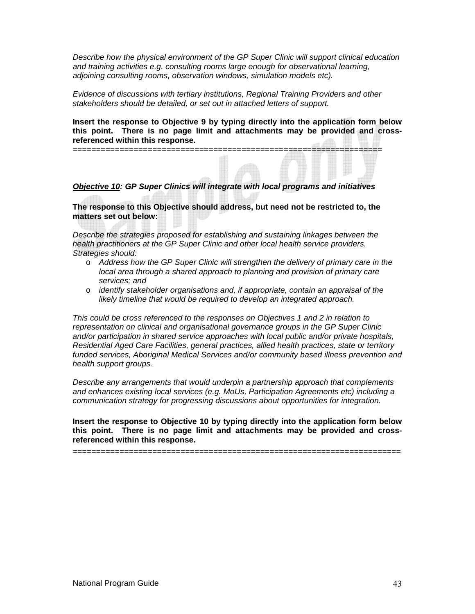*Describe how the physical environment of the GP Super Clinic will support clinical education and training activities e.g. consulting rooms large enough for observational learning, adjoining consulting rooms, observation windows, simulation models etc).* 

*Evidence of discussions with tertiary institutions, Regional Training Providers and other stakeholders should be detailed, or set out in attached letters of support.* 

==================================================================

**Insert the response to Objective 9 by typing directly into the application form below this point. There is no page limit and attachments may be provided and crossreferenced within this response.** 

#### *Objective 10: GP Super Clinics will integrate with local programs and initiatives*

**The response to this Objective should address, but need not be restricted to, the matters set out below:** 

*Describe the strategies proposed for establishing and sustaining linkages between the health practitioners at the GP Super Clinic and other local health service providers. Strategies should:* 

- o *Address how the GP Super Clinic will strengthen the delivery of primary care in the local area through a shared approach to planning and provision of primary care services; and*
- o *identify stakeholder organisations and, if appropriate, contain an appraisal of the likely timeline that would be required to develop an integrated approach.*

*This could be cross referenced to the responses on Objectives 1 and 2 in relation to representation on clinical and organisational governance groups in the GP Super Clinic and/or participation in shared service approaches with local public and/or private hospitals, Residential Aged Care Facilities, general practices, allied health practices, state or territory funded services, Aboriginal Medical Services and/or community based illness prevention and health support groups.* 

*Describe any arrangements that would underpin a partnership approach that complements and enhances existing local services (e.g. MoUs, Participation Agreements etc) including a communication strategy for progressing discussions about opportunities for integration.* 

**Insert the response to Objective 10 by typing directly into the application form below this point. There is no page limit and attachments may be provided and crossreferenced within this response.**

======================================================================

National Program Guide 43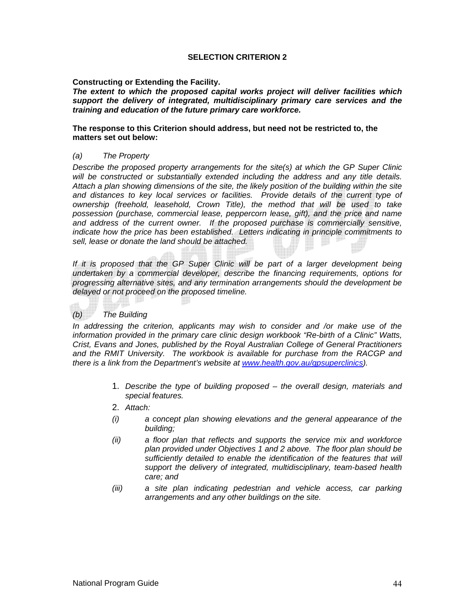#### **SELECTION CRITERION 2**

**Constructing or Extending the Facility.** 

*The extent to which the proposed capital works project will deliver facilities which support the delivery of integrated, multidisciplinary primary care services and the training and education of the future primary care workforce.* 

#### **The response to this Criterion should address, but need not be restricted to, the matters set out below:**

#### *(a) The Property*

*Describe the proposed property arrangements for the site(s) at which the GP Super Clinic will be constructed or substantially extended including the address and any title details. Attach a plan showing dimensions of the site, the likely position of the building within the site and distances to key local services or facilities. Provide details of the current type of ownership (freehold, leasehold, Crown Title), the method that will be used to take possession (purchase, commercial lease, peppercorn lease, gift), and the price and name and address of the current owner. If the proposed purchase is commercially sensitive, indicate how the price has been established. Letters indicating in principle commitments to sell, lease or donate the land should be attached.* 

If it is proposed that the GP Super Clinic will be part of a larger development being *undertaken by a commercial developer, describe the financing requirements, options for progressing alternative sites, and any termination arrangements should the development be delayed or not proceed on the proposed timeline.* 

#### *(b) The Building*

*In addressing the criterion, applicants may wish to consider and /or make use of the information provided in the primary care clinic design workbook "Re-birth of a Clinic" Watts, Crist, Evans and Jones, published by the Royal Australian College of General Practitioners and the RMIT University. The workbook is available for purchase from the RACGP and there is a link from the Department's website at www.health.gov.au/gpsuperclinics).* 

- 1. *Describe the type of building proposed the overall design, materials and special features.*
- 2. *Attach:*
- *(i) a concept plan showing elevations and the general appearance of the building;*
- *(ii) a floor plan that reflects and supports the service mix and workforce plan provided under Objectives 1 and 2 above. The floor plan should be sufficiently detailed to enable the identification of the features that will support the delivery of integrated, multidisciplinary, team-based health care; and*
- *(iii) a site plan indicating pedestrian and vehicle access, car parking arrangements and any other buildings on the site.*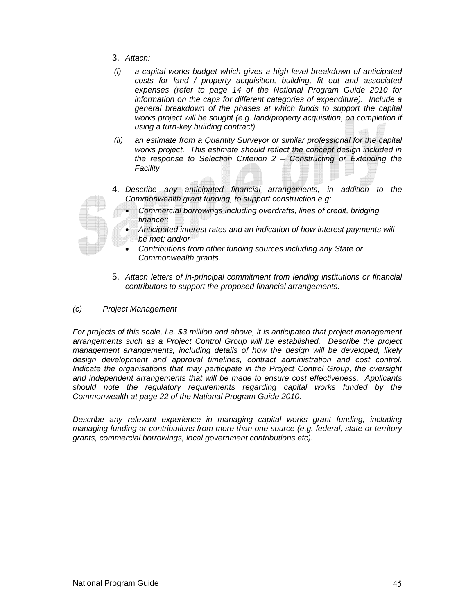- 3. *Attach:*
- *(i) a capital works budget which gives a high level breakdown of anticipated costs for land / property acquisition, building, fit out and associated expenses (refer to page 14 of the National Program Guide 2010 for information on the caps for different categories of expenditure). Include a general breakdown of the phases at which funds to support the capital works project will be sought (e.g. land/property acquisition, on completion if using a turn-key building contract).*
- *(ii) an estimate from a Quantity Surveyor or similar professional for the capital works project. This estimate should reflect the concept design included in the response to Selection Criterion 2 – Constructing or Extending the Facility*
- 4. *Describe any anticipated financial arrangements, in addition to the Commonwealth grant funding, to support construction e.g:* 
	- *Commercial borrowings including overdrafts, lines of credit, bridging finance;;*
	- *Anticipated interest rates and an indication of how interest payments will be met; and/or*
	- *Contributions from other funding sources including any State or Commonwealth grants.*
- 5. *Attach letters of in-principal commitment from lending institutions or financial contributors to support the proposed financial arrangements.*
- *(c) Project Management*

*For projects of this scale, i.e. \$3 million and above, it is anticipated that project management arrangements such as a Project Control Group will be established. Describe the project management arrangements, including details of how the design will be developed, likely*  design development and approval timelines, contract administration and cost control. *Indicate the organisations that may participate in the Project Control Group, the oversight and independent arrangements that will be made to ensure cost effectiveness. Applicants should note the regulatory requirements regarding capital works funded by the Commonwealth at page 22 of the National Program Guide 2010.*

*Describe any relevant experience in managing capital works grant funding, including managing funding or contributions from more than one source (e.g. federal, state or territory grants, commercial borrowings, local government contributions etc).* 

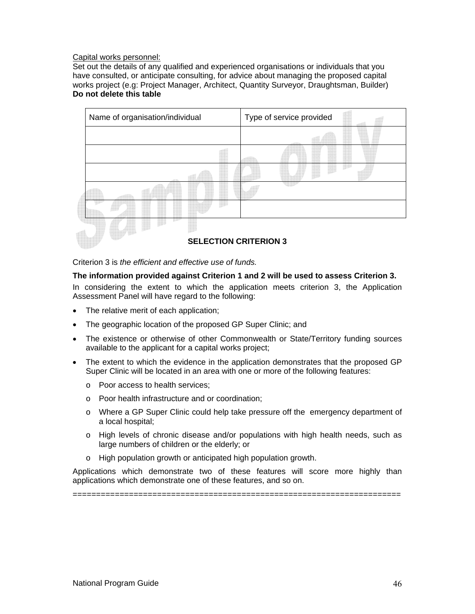#### Capital works personnel:

Set out the details of any qualified and experienced organisations or individuals that you have consulted, or anticipate consulting, for advice about managing the proposed capital works project (e.g: Project Manager, Architect, Quantity Surveyor, Draughtsman, Builder) **Do not delete this table** 



Criterion 3 is *the efficient and effective use of funds.* 

#### **The information provided against Criterion 1 and 2 will be used to assess Criterion 3.**

In considering the extent to which the application meets criterion 3, the Application Assessment Panel will have regard to the following:

- The relative merit of each application;
- The geographic location of the proposed GP Super Clinic; and
- The existence or otherwise of other Commonwealth or State/Territory funding sources available to the applicant for a capital works project;
- The extent to which the evidence in the application demonstrates that the proposed GP Super Clinic will be located in an area with one or more of the following features:
	- o Poor access to health services;
	- o Poor health infrastructure and or coordination;
	- o Where a GP Super Clinic could help take pressure off the emergency department of a local hospital;
	- o High levels of chronic disease and/or populations with high health needs, such as large numbers of children or the elderly; or
	- o High population growth or anticipated high population growth.

Applications which demonstrate two of these features will score more highly than applications which demonstrate one of these features, and so on.

======================================================================